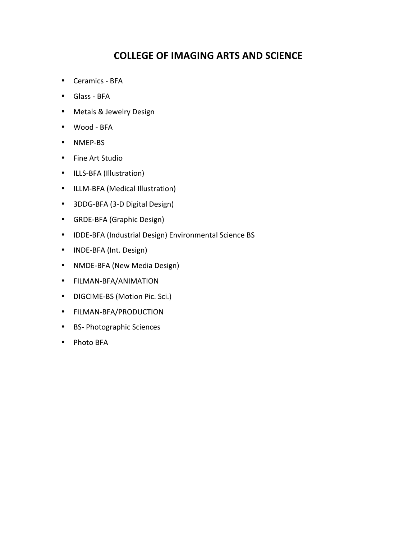# **COLLEGE OF IMAGING ARTS AND SCIENCE**

- <span id="page-0-0"></span>• Ceramics - BFA
- Glass BFA
- Metals & Jewelry Design
- Wood BFA
- [NMEP-BS](#page-5-0)
- Fine Art Studio
- ILLS-BFA (Illustration)
- ILLM-BFA (Medical Illustration)
- 3DDG-BFA (3-D Digital Design)
- GRDE-BFA (Graphic Design)
- IDDE-BFA (Industrial Design) Environmental Science BS
- INDE-BFA (Int. Design)
- NMDE-BFA (New Media Design)
- [FILMAN-BFA/ANIMATION](#page-14-0)
- DIGCIME-BS (Motion Pic. Sci.)
- [FILMAN-BFA/PRODUCTION](#page-16-0)
- BS- Photographic Sciences
- Photo BFA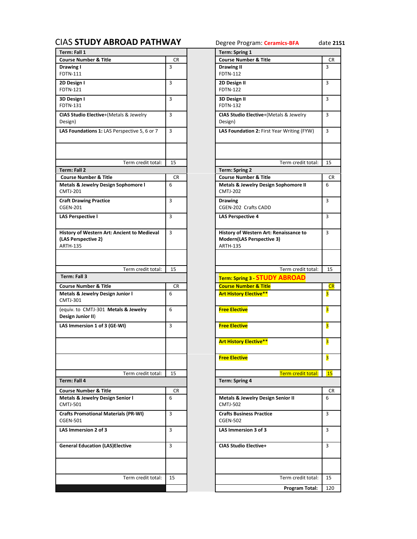| Term: Fall 1                                                                          |           | Term: Spring 1                                                                         |                |
|---------------------------------------------------------------------------------------|-----------|----------------------------------------------------------------------------------------|----------------|
| <b>Course Number &amp; Title</b>                                                      | <b>CR</b> | <b>Course Number &amp; Title</b>                                                       | <b>CR</b>      |
| Drawing I<br>FDTN-111                                                                 | 3         | Drawing II<br>FDTN-112                                                                 | 3              |
| 2D Design I<br><b>FDTN-121</b>                                                        | 3         | 2D Design II<br><b>FDTN-122</b>                                                        | 3              |
| 3D Design I<br><b>FDTN-131</b>                                                        | 3         | 3D Design II<br><b>FDTN-132</b>                                                        | $\overline{3}$ |
| CIAS Studio Elective+(Metals & Jewelry<br>Design)                                     | 3         | CIAS Studio Elective+(Metals & Jewelry<br>Design)                                      | 3              |
| LAS Foundations 1: LAS Perspective 5, 6 or 7                                          | 3         | LAS Foundation 2: First Year Writing (FYW)                                             | 3              |
| Term credit total:                                                                    | 15        | Term credit total:                                                                     | 15             |
| <b>Term: Fall 2</b>                                                                   |           | <b>Term: Spring 2</b>                                                                  |                |
| <b>Course Number &amp; Title</b>                                                      | CR.       | <b>Course Number &amp; Title</b>                                                       | <b>CR</b>      |
| Metals & Jewelry Design Sophomore I<br><b>CMTJ-201</b>                                | 6         | <b>Metals &amp; Jewelry Design Sophomore II</b><br><b>CMTJ-202</b>                     | 6              |
| <b>Craft Drawing Practice</b><br><b>CGEN-201</b>                                      | 3         | <b>Drawing</b><br>CGEN-202 Crafts CADD                                                 | 3              |
| <b>LAS Perspective I</b>                                                              | 3         | <b>LAS Perspective 4</b>                                                               | 3              |
| History of Western Art: Ancient to Medieval<br>(LAS Perspective 2)<br><b>ARTH-135</b> | 3         | History of Western Art: Renaissance to<br>Modern(LAS Perspective 3)<br><b>ARTH-135</b> | $\overline{3}$ |
| Term credit total:                                                                    | 15        | Term credit total:                                                                     | 15             |
| Term: Fall 3                                                                          |           | Term: Spring 3 STUDY ABROAD                                                            |                |
| <b>Course Number &amp; Title</b>                                                      | <b>CR</b> | <b>Course Number &amp; Title</b>                                                       | CR             |
| Metals & Jewelry Design Junior I                                                      | 6         | <b>Art History Elective**</b>                                                          | 3              |
| <b>CMTJ-301</b><br>(equiv. to CMTJ-301 Metals & Jewelry                               | 6         |                                                                                        | 3              |
| Design Junior II)                                                                     |           | <b>Free Elective</b>                                                                   |                |
| LAS Immersion 1 of 3 (GE-WI)                                                          | 3         | <b>Free Elective</b>                                                                   | 3              |
|                                                                                       |           | <b>Art History Elective**</b>                                                          | 3              |
|                                                                                       |           | <b>Free Elective</b>                                                                   | 3              |
| Term credit total:                                                                    | 15        | <b>Term credit total:</b>                                                              | 15             |
| Term: Fall 4                                                                          |           | <b>Term: Spring 4</b>                                                                  |                |
| <b>Course Number &amp; Title</b>                                                      | <b>CR</b> |                                                                                        | <b>CR</b>      |
| Metals & Jewelry Design Senior I<br><b>CMTJ-501</b>                                   | 6         | Metals & Jewelry Design Senior II<br><b>CMTJ-502</b>                                   | 6              |
| <b>Crafts Promotional Materials (PR-WI)</b><br><b>CGEN-501</b>                        | 3         | <b>Crafts Business Practice</b><br><b>CGEN-502</b>                                     | 3              |
| LAS Immersion 2 of 3                                                                  | 3         | LAS Immersion 3 of 3                                                                   | 3              |
| <b>General Education (LAS)Elective</b>                                                | 3         | <b>CIAS Studio Elective+</b>                                                           | 3              |
| Term credit total:                                                                    | 15        | Term credit total:                                                                     |                |
|                                                                                       |           |                                                                                        | 15             |
|                                                                                       |           |                                                                                        |                |

<span id="page-1-0"></span>

| <b>CIAS STUDY ABROAD PATHWAY</b><br>Term: Fall 1               |     | Degree Program: Ceramics-BFA<br>Term: Spring 1                  | date 2151      |
|----------------------------------------------------------------|-----|-----------------------------------------------------------------|----------------|
| <b>Course Number &amp; Title</b>                               | CR  | <b>Course Number &amp; Title</b>                                | <b>CR</b>      |
| Drawing I                                                      | 3   | <b>Drawing II</b>                                               | 3              |
| FDTN-111                                                       |     | <b>FDTN-112</b>                                                 |                |
| 2D Design I                                                    | 3   | 2D Design II                                                    | 3              |
| <b>FDTN-121</b>                                                |     | <b>FDTN-122</b>                                                 |                |
| 3D Design I                                                    | 3   | 3D Design II                                                    | 3              |
| <b>FDTN-131</b>                                                |     | FDTN-132                                                        |                |
| CIAS Studio Elective+(Metals & Jewelry<br>Design)              | 3   | CIAS Studio Elective+(Metals & Jewelry<br>Design)               | 3              |
| LAS Foundations 1: LAS Perspective 5, 6 or 7                   | 3   | LAS Foundation 2: First Year Writing (FYW)                      | 3              |
| Term credit total:                                             | 15  | Term credit total:                                              | 15             |
| Term: Fall 2                                                   |     | <b>Term: Spring 2</b>                                           |                |
| <b>Course Number &amp; Title</b>                               | CR  | <b>Course Number &amp; Title</b>                                | CR             |
| Metals & Jewelry Design Sophomore I                            | 6   | Metals & Jewelry Design Sophomore II                            | 6              |
| <b>CMTJ-201</b>                                                |     | <b>CMTJ-202</b>                                                 |                |
| <b>Craft Drawing Practice</b>                                  | 3   | <b>Drawing</b>                                                  | 3              |
| <b>CGEN-201</b>                                                |     | <b>CGEN-202 Crafts CADD</b>                                     |                |
| <b>LAS Perspective I</b>                                       | 3   | <b>LAS Perspective 4</b>                                        | 3              |
|                                                                |     |                                                                 |                |
| History of Western Art: Ancient to Medieval                    | 3   | History of Western Art: Renaissance to                          | 3              |
| (LAS Perspective 2)                                            |     | Modern(LAS Perspective 3)                                       |                |
| <b>ARTH-135</b>                                                |     | <b>ARTH-135</b>                                                 |                |
|                                                                |     |                                                                 |                |
|                                                                |     |                                                                 |                |
| Term credit total:                                             | 15  | Term credit total:                                              | 15             |
| Term: Fall 3                                                   |     | Term: Spring 3 STUDY ABROAD                                     |                |
| <b>Course Number &amp; Title</b>                               | CR. | <b>Course Number &amp; Title</b>                                | CR             |
| Metals & Jewelry Design Junior I<br><b>CMTJ-301</b>            | 6   | <b>Art History Elective**</b>                                   | 3              |
| (equiv. to CMTJ-301 Metals & Jewelry<br>Design Junior II)      | 6   | <b>Free Elective</b>                                            | 3              |
| LAS Immersion 1 of 3 (GE-WI)                                   | 3   | <b>Free Elective</b>                                            | $\overline{3}$ |
|                                                                |     | <b>Art History Elective**</b>                                   | <mark>3</mark> |
|                                                                |     | <b>Free Elective</b>                                            | 3              |
| Term credit total:                                             | 15  | Term credit total:                                              | <b>15</b>      |
| Term: Fall 4                                                   |     | Term: Spring 4                                                  |                |
| <b>Course Number &amp; Title</b>                               | CR  |                                                                 | CR             |
| Metals & Jewelry Design Senior I<br><b>CMTJ-501</b>            | 6   | <b>Metals &amp; Jewelry Design Senior II</b><br><b>CMTJ-502</b> | 6              |
| <b>Crafts Promotional Materials (PR-WI)</b><br><b>CGEN-501</b> | 3   | <b>Crafts Business Practice</b><br><b>CGEN-502</b>              | 3              |
| LAS Immersion 2 of 3                                           | 3   | LAS Immersion 3 of 3                                            | 3              |
| <b>General Education (LAS)Elective</b>                         | 3   | <b>CIAS Studio Elective+</b>                                    | 3              |
|                                                                |     |                                                                 |                |
| Term credit total:                                             | 15  | Term credit total:                                              | 15             |
|                                                                |     | Program Total:                                                  | 120            |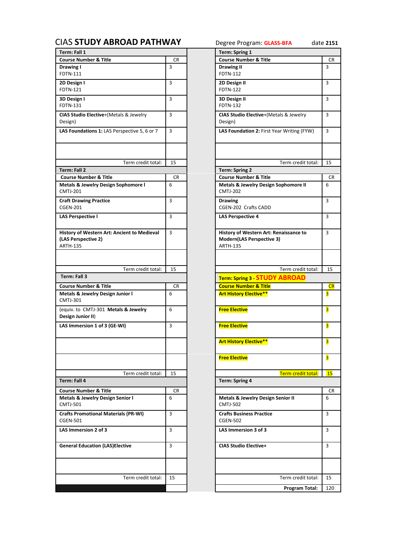<span id="page-2-0"></span>

| Term: Fall 1                                                                          |           | Term: Spring 1                                                                         |                |
|---------------------------------------------------------------------------------------|-----------|----------------------------------------------------------------------------------------|----------------|
| <b>Course Number &amp; Title</b>                                                      | CR        | <b>Course Number &amp; Title</b>                                                       | <b>CR</b>      |
| Drawing I<br>FDTN-111                                                                 | 3         | <b>Drawing II</b><br><b>FDTN-112</b>                                                   | $\overline{3}$ |
| 2D Design I<br><b>FDTN-121</b>                                                        | 3         | 2D Design II<br><b>FDTN-122</b>                                                        | 3              |
| 3D Design I<br><b>FDTN-131</b>                                                        | 3         | 3D Design II<br><b>FDTN-132</b>                                                        | $\overline{3}$ |
| CIAS Studio Elective+(Metals & Jewelry<br>Design)                                     | 3         | CIAS Studio Elective+(Metals & Jewelry<br>Design)                                      | 3              |
| LAS Foundations 1: LAS Perspective 5, 6 or 7                                          | 3         | LAS Foundation 2: First Year Writing (FYW)                                             | 3              |
|                                                                                       |           |                                                                                        |                |
| Term credit total:                                                                    | 15        | Term credit total:                                                                     | 15             |
| Term: Fall 2                                                                          |           | <b>Term: Spring 2</b>                                                                  |                |
| <b>Course Number &amp; Title</b>                                                      | CR.       | <b>Course Number &amp; Title</b>                                                       | <b>CR</b>      |
| Metals & Jewelry Design Sophomore I<br><b>CMTJ-201</b>                                | 6         | Metals & Jewelry Design Sophomore II<br><b>CMTJ-202</b>                                | 6              |
| <b>Craft Drawing Practice</b><br><b>CGEN-201</b>                                      | 3         | <b>Drawing</b><br>CGEN-202 Crafts CADD                                                 | $\overline{3}$ |
| <b>LAS Perspective I</b>                                                              | 3         | <b>LAS Perspective 4</b>                                                               | 3              |
| History of Western Art: Ancient to Medieval<br>(LAS Perspective 2)<br><b>ARTH-135</b> | 3         | History of Western Art: Renaissance to<br>Modern(LAS Perspective 3)<br><b>ARTH-135</b> | $\overline{3}$ |
| Term credit total:                                                                    | 15        | Term credit total:                                                                     | 15             |
| Term: Fall 3                                                                          |           |                                                                                        |                |
|                                                                                       |           | <b>Term: Spring 3 STUDY ABROAD</b>                                                     |                |
| <b>Course Number &amp; Title</b>                                                      | CR        | <b>Course Number &amp; Title</b>                                                       | CR             |
| Metals & Jewelry Design Junior I<br><b>CMTJ-301</b>                                   | 6         | <b>Art History Elective**</b>                                                          | 3              |
| (equiv. to CMTJ-301 Metals & Jewelry<br>Design Junior II)                             | 6         | <b>Free Elective</b>                                                                   | 3              |
| LAS Immersion 1 of 3 (GE-WI)                                                          | 3         | <b>Free Elective</b>                                                                   | 3              |
|                                                                                       |           | <b>Art History Elective**</b>                                                          | 3              |
|                                                                                       |           | <b>Free Elective</b>                                                                   | 3              |
| Term credit total:                                                                    | 15        | Term credit total:                                                                     | <b>15</b>      |
| Term: Fall 4                                                                          |           | <b>Term: Spring 4</b>                                                                  |                |
| <b>Course Number &amp; Title</b>                                                      | <b>CR</b> |                                                                                        | CR             |
| Metals & Jewelry Design Senior I                                                      | 6         | Metals & Jewelry Design Senior II                                                      | 6              |
| <b>CMTJ-501</b>                                                                       |           | <b>CMTJ-502</b>                                                                        |                |
| <b>Crafts Promotional Materials (PR-WI)</b><br><b>CGEN-501</b>                        | 3         | <b>Crafts Business Practice</b><br><b>CGEN-502</b>                                     | $\overline{3}$ |
| LAS Immersion 2 of 3                                                                  | 3         | LAS Immersion 3 of 3                                                                   | 3              |
| <b>General Education (LAS)Elective</b>                                                | 3         | <b>CIAS Studio Elective+</b>                                                           | 3              |
|                                                                                       |           |                                                                                        |                |
|                                                                                       |           |                                                                                        |                |
| Term credit total:                                                                    | 15        | Term credit total:                                                                     | 15             |

|                                           | <b>DAD PATHWAY</b> | Degree Program: GLASS-BFA                                                              | date 2151      |
|-------------------------------------------|--------------------|----------------------------------------------------------------------------------------|----------------|
|                                           |                    | <b>Term: Spring 1</b>                                                                  |                |
|                                           | <b>CR</b>          | <b>Course Number &amp; Title</b>                                                       | <b>CR</b>      |
|                                           | 3                  | <b>Drawing II</b><br><b>FDTN-112</b>                                                   | 3              |
|                                           | 3                  | 2D Design II<br><b>FDTN-122</b>                                                        | 3              |
|                                           | 3                  | 3D Design II<br><b>FDTN-132</b>                                                        | 3              |
| & Jewelry                                 | 3                  | CIAS Studio Elective+(Metals & Jewelry<br>Design)                                      | 3              |
| pective 5, 6 or 7                         | 3                  | LAS Foundation 2: First Year Writing (FYW)                                             | 3              |
| Term credit total:                        | 15                 | Term credit total:                                                                     | 15             |
|                                           |                    | <b>Term: Spring 2</b>                                                                  |                |
|                                           | CR                 | <b>Course Number &amp; Title</b>                                                       | CR             |
| ohomore l                                 | 6                  | Metals & Jewelry Design Sophomore II<br><b>CMTJ-202</b>                                | 6              |
|                                           | 3                  | <b>Drawing</b><br>CGEN-202 Crafts CADD                                                 | 3              |
|                                           | 3                  | <b>LAS Perspective 4</b>                                                               | 3              |
| ent to Medieval                           | 3                  | History of Western Art: Renaissance to<br>Modern(LAS Perspective 3)<br><b>ARTH-135</b> | 3              |
|                                           |                    |                                                                                        |                |
| Term credit total:                        | 15                 | Term credit total:                                                                     | 15             |
|                                           |                    | Term: Spring 3 STUDY ABROAD                                                            |                |
|                                           |                    |                                                                                        |                |
|                                           | <b>CR</b>          | <b>Course Number &amp; Title</b>                                                       | CR             |
| ior I                                     | 6                  | <b>Art History Elective**</b>                                                          | 3              |
| & Jewelry                                 | 6                  | <b>Free Elective</b>                                                                   | 3              |
| I)                                        | 3                  | <b>Free Elective</b>                                                                   | 3              |
|                                           |                    | Art History Elective**                                                                 | <mark>3</mark> |
|                                           |                    | <b>Free Elective</b>                                                                   | 3              |
|                                           | 15                 | Term credit total:                                                                     | 15             |
|                                           |                    | <b>Term: Spring 4</b>                                                                  |                |
|                                           | <b>CR</b>          |                                                                                        | CR             |
|                                           | 6                  | <b>Metals &amp; Jewelry Design Senior II</b><br><b>CMTJ-502</b>                        | 6              |
| Term credit total:<br>ıior I<br>s (PR-WI) | 3                  | <b>Crafts Business Practice</b><br><b>CGEN-502</b>                                     | 3              |
|                                           | 3                  | LAS Immersion 3 of 3                                                                   | 3              |
| tive                                      | 3                  | <b>CIAS Studio Elective+</b>                                                           | 3              |
|                                           |                    |                                                                                        |                |
| Term credit total:                        | 15                 | Term credit total:<br>Program Total:                                                   | 15<br>120      |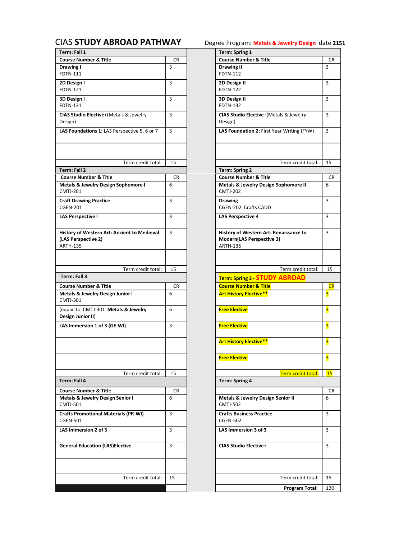<span id="page-3-0"></span>

| Term: Fall 1                                                   |                | Term: Spring 1                               |                         |
|----------------------------------------------------------------|----------------|----------------------------------------------|-------------------------|
| <b>Course Number &amp; Title</b>                               | <b>CR</b>      | <b>Course Number &amp; Title</b>             | CR                      |
| Drawing I                                                      | $\overline{3}$ | <b>Drawing II</b>                            | $\overline{3}$          |
| FDTN-111                                                       |                | <b>FDTN-112</b>                              |                         |
| 2D Design I                                                    | 3              | 2D Design II                                 | 3                       |
| <b>FDTN-121</b>                                                |                | <b>FDTN-122</b>                              |                         |
| 3D Design I                                                    | 3              | 3D Design II                                 | 3                       |
| <b>FDTN-131</b>                                                |                | <b>FDTN-132</b>                              |                         |
| CIAS Studio Elective+(Metals & Jewelry                         | 3              | CIAS Studio Elective+(Metals & Jewelry       | $\overline{3}$          |
| Design)                                                        |                | Design)                                      |                         |
| LAS Foundations 1: LAS Perspective 5, 6 or 7                   | 3              | LAS Foundation 2: First Year Writing (FYW)   | 3                       |
|                                                                |                |                                              |                         |
|                                                                |                |                                              |                         |
|                                                                |                |                                              |                         |
| Term credit total:                                             | 15             | Term credit total:                           | 15                      |
| Term: Fall 2                                                   |                | <b>Term: Spring 2</b>                        |                         |
| <b>Course Number &amp; Title</b>                               | CR.            | <b>Course Number &amp; Title</b>             | CR                      |
| Metals & Jewelry Design Sophomore I                            | 6              | Metals & Jewelry Design Sophomore II         | 6                       |
| <b>CMTJ-201</b>                                                |                | <b>CMTJ-202</b>                              |                         |
| <b>Craft Drawing Practice</b>                                  | 3              | <b>Drawing</b>                               | 3                       |
| <b>CGEN-201</b>                                                |                | CGEN-202 Crafts CADD                         |                         |
| <b>LAS Perspective I</b>                                       | 3              | <b>LAS Perspective 4</b>                     | 3                       |
|                                                                |                |                                              |                         |
| History of Western Art: Ancient to Medieval                    | 3              | History of Western Art: Renaissance to       | 3                       |
| (LAS Perspective 2)                                            |                | Modern(LAS Perspective 3)                    |                         |
| <b>ARTH-135</b>                                                |                | <b>ARTH-135</b>                              |                         |
|                                                                |                |                                              |                         |
|                                                                |                |                                              |                         |
| Term credit total:                                             | 15             | Term credit total:                           | 15                      |
| Term: Fall 3                                                   |                |                                              |                         |
|                                                                |                | <b>Term: Spring 3 STUDY ABROAD</b>           |                         |
| <b>Course Number &amp; Title</b>                               | CR<br>6        | <b>Course Number &amp; Title</b>             | CR                      |
| Metals & Jewelry Design Junior I<br><b>CMTJ-301</b>            |                | <b>Art History Elective**</b>                | $\overline{\mathbf{3}}$ |
|                                                                |                |                                              |                         |
| (equiv. to CMTJ-301 Metals & Jewelry<br>Design Junior II)      | 6              | <b>Free Elective</b>                         | 3                       |
|                                                                |                |                                              |                         |
|                                                                |                |                                              |                         |
| LAS Immersion 1 of 3 (GE-WI)                                   | 3              | <b>Free Elective</b>                         | 3                       |
|                                                                |                |                                              |                         |
|                                                                |                | <b>Art History Elective**</b>                | 3                       |
|                                                                |                |                                              |                         |
|                                                                |                | <b>Free Elective</b>                         | 3                       |
|                                                                |                |                                              |                         |
| Term credit total:                                             | 15             | Term credit total:                           |                         |
| Term: Fall 4                                                   |                | <b>Term: Spring 4</b>                        |                         |
| <b>Course Number &amp; Title</b>                               | CR             |                                              |                         |
| Metals & Jewelry Design Senior I                               | 6              | <b>Metals &amp; Jewelry Design Senior II</b> | 6                       |
| <b>CMTJ-501</b>                                                |                | <b>CMTJ-502</b>                              | <b>15</b><br>CR         |
|                                                                | 3              | <b>Crafts Business Practice</b>              | $\overline{3}$          |
| <b>Crafts Promotional Materials (PR-WI)</b><br><b>CGEN-501</b> |                | <b>CGEN-502</b>                              |                         |
|                                                                |                |                                              |                         |
| LAS Immersion 2 of 3                                           | 3              | LAS Immersion 3 of 3                         | 3                       |
|                                                                |                |                                              |                         |
| <b>General Education (LAS)Elective</b>                         | 3              | <b>CIAS Studio Elective+</b>                 | 3                       |
|                                                                |                |                                              |                         |
|                                                                |                |                                              |                         |
|                                                                |                |                                              |                         |
| Term credit total:                                             | 15             | Term credit total:                           | 15                      |

| Degree Program: Metals & Jewelry Design date 2151 |  |  |  |
|---------------------------------------------------|--|--|--|
|                                                   |  |  |  |

|                    |     | Term: Spring 1                                                                                |           |
|--------------------|-----|-----------------------------------------------------------------------------------------------|-----------|
|                    | CR  | <b>Course Number &amp; Title</b>                                                              | CR        |
|                    | 3   | <b>Drawing II</b><br>FDTN-112                                                                 | 3         |
|                    | 3   | 2D Design II<br><b>FDTN-122</b>                                                               | 3         |
|                    | 3   | 3D Design II<br>FDTN-132                                                                      | 3         |
| & Jewelry          | 3   | CIAS Studio Elective+(Metals & Jewelry<br>Design)                                             | 3         |
| pective 5, 6 or 7  | 3   | LAS Foundation 2: First Year Writing (FYW)                                                    | 3         |
|                    |     |                                                                                               |           |
| Term credit total: | 15  | Term credit total:                                                                            | 15        |
|                    |     | <b>Term: Spring 2</b>                                                                         |           |
|                    | CR  | <b>Course Number &amp; Title</b>                                                              | CR        |
| phomore l          | 6   | Metals & Jewelry Design Sophomore II<br><b>CMTJ-202</b>                                       | 6         |
|                    | 3   | <b>Drawing</b><br>CGEN-202 Crafts CADD                                                        | 3         |
|                    | 3   | <b>LAS Perspective 4</b>                                                                      | 3         |
| ent to Medieval    | 3   | History of Western Art: Renaissance to<br><b>Modern(LAS Perspective 3)</b><br><b>ARTH-135</b> | 3         |
| Term credit total: | 15  | Term credit total:                                                                            | 15        |
|                    |     |                                                                                               |           |
|                    |     | Term: Spring 3 STUDY ABROAD                                                                   |           |
|                    | CR. | <b>Course Number &amp; Title</b>                                                              | CR        |
| ior I              | 6   | <b>Art History Elective**</b>                                                                 | 3         |
| & Jewelry          | 6   | <b>Free Elective</b>                                                                          | 3         |
| I)                 | 3   | <b>Free Elective</b>                                                                          | 3         |
|                    |     | <b>Art History Elective**</b>                                                                 | 3         |
|                    |     | <b>Free Elective</b>                                                                          | 3         |
| Term credit total: | 15  | Term credit total:                                                                            | <b>15</b> |
|                    |     | Term: Spring 4                                                                                |           |
|                    | CR  |                                                                                               | CR        |
| ıior I             | 6   | <b>Metals &amp; Jewelry Design Senior II</b><br><b>CMTJ-502</b>                               | 6         |
| $s$ (PR-WI)        | 3   | <b>Crafts Business Practice</b><br><b>CGEN-502</b>                                            | 3         |
|                    | 3   | LAS Immersion 3 of 3                                                                          | 3         |
| tive               |     |                                                                                               |           |
|                    | 3   | <b>CIAS Studio Elective+</b>                                                                  | 3         |
|                    |     |                                                                                               |           |
| Term credit total: | 15  | Term credit total:                                                                            | 15        |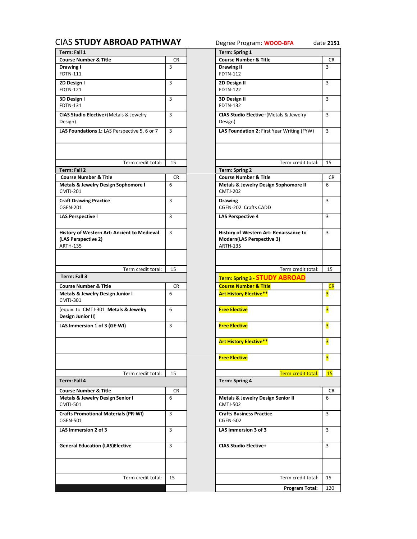<span id="page-4-0"></span>

| Term: Fall 1                                                                          |           | Term: Spring 1                                                                         |                         |
|---------------------------------------------------------------------------------------|-----------|----------------------------------------------------------------------------------------|-------------------------|
| <b>Course Number &amp; Title</b>                                                      | <b>CR</b> | <b>Course Number &amp; Title</b>                                                       | <b>CR</b>               |
| Drawing I<br>FDTN-111                                                                 | 3         | Drawing II<br>FDTN-112                                                                 | 3                       |
| 2D Design I<br><b>FDTN-121</b>                                                        | 3         | 2D Design II<br><b>FDTN-122</b>                                                        | 3                       |
| 3D Design I<br><b>FDTN-131</b>                                                        | 3         | 3D Design II<br><b>FDTN-132</b>                                                        | $\overline{3}$          |
| CIAS Studio Elective+(Metals & Jewelry<br>Design)                                     | 3         | CIAS Studio Elective+(Metals & Jewelry<br>Design)                                      | 3                       |
| LAS Foundations 1: LAS Perspective 5, 6 or 7                                          | 3         | LAS Foundation 2: First Year Writing (FYW)                                             | 3                       |
| Term credit total:                                                                    | 15        | Term credit total:                                                                     | 15                      |
| <b>Term: Fall 2</b>                                                                   |           | <b>Term: Spring 2</b>                                                                  |                         |
| <b>Course Number &amp; Title</b>                                                      | CR.       | <b>Course Number &amp; Title</b>                                                       | <b>CR</b>               |
| Metals & Jewelry Design Sophomore I<br><b>CMTJ-201</b>                                | 6         | <b>Metals &amp; Jewelry Design Sophomore II</b><br><b>CMTJ-202</b>                     | 6                       |
| <b>Craft Drawing Practice</b><br><b>CGEN-201</b>                                      | 3         | <b>Drawing</b><br>CGEN-202 Crafts CADD                                                 | 3                       |
| <b>LAS Perspective I</b>                                                              | 3         | <b>LAS Perspective 4</b>                                                               | 3                       |
| History of Western Art: Ancient to Medieval<br>(LAS Perspective 2)<br><b>ARTH-135</b> | 3         | History of Western Art: Renaissance to<br>Modern(LAS Perspective 3)<br><b>ARTH-135</b> | $\overline{3}$          |
| Term credit total:                                                                    | 15        | Term credit total:                                                                     | 15                      |
| Term: Fall 3                                                                          |           | Term: Spring 3 STUDY ABROAD                                                            |                         |
| <b>Course Number &amp; Title</b>                                                      | <b>CR</b> | <b>Course Number &amp; Title</b>                                                       | CR                      |
| Metals & Jewelry Design Junior I                                                      | 6         | <b>Art History Elective**</b>                                                          | 3                       |
| <b>CMTJ-301</b><br>(equiv. to CMTJ-301 Metals & Jewelry                               | 6         |                                                                                        | $\overline{\mathbf{3}}$ |
| Design Junior II)                                                                     |           | <b>Free Elective</b>                                                                   |                         |
| LAS Immersion 1 of 3 (GE-WI)                                                          | 3         | <b>Free Elective</b>                                                                   | 3                       |
|                                                                                       |           | <b>Art History Elective**</b>                                                          | 3                       |
|                                                                                       |           | <b>Free Elective</b>                                                                   | 3                       |
| Term credit total:                                                                    | 15        | <b>Term credit total:</b>                                                              | 15                      |
| Term: Fall 4                                                                          |           | <b>Term: Spring 4</b>                                                                  |                         |
| <b>Course Number &amp; Title</b>                                                      | <b>CR</b> |                                                                                        | <b>CR</b>               |
| Metals & Jewelry Design Senior I<br><b>CMTJ-501</b>                                   | 6         | Metals & Jewelry Design Senior II<br><b>CMTJ-502</b>                                   | 6                       |
| <b>Crafts Promotional Materials (PR-WI)</b><br><b>CGEN-501</b>                        | 3         | <b>Crafts Business Practice</b><br><b>CGEN-502</b>                                     | 3                       |
| LAS Immersion 2 of 3                                                                  | 3         | LAS Immersion 3 of 3                                                                   | 3                       |
| <b>General Education (LAS)Elective</b>                                                | 3         | <b>CIAS Studio Elective+</b>                                                           | 3                       |
| Term credit total:                                                                    | 15        | Term credit total:                                                                     |                         |
|                                                                                       |           |                                                                                        | 15                      |
|                                                                                       |           |                                                                                        |                         |

| <b>DAD PATHWAY</b>  |           | Degree Program: WOOD-BFA                                                                      | date 2151               |
|---------------------|-----------|-----------------------------------------------------------------------------------------------|-------------------------|
|                     |           | Term: Spring 1                                                                                |                         |
|                     | CR        | <b>Course Number &amp; Title</b>                                                              | CR                      |
|                     | 3         | Drawing II<br>FDTN-112                                                                        | 3                       |
|                     | 3         | 2D Design II<br><b>FDTN-122</b>                                                               | 3                       |
|                     | 3         | 3D Design II<br><b>FDTN-132</b>                                                               | 3                       |
| & Jewelry           | 3         | CIAS Studio Elective+(Metals & Jewelry<br>Design)                                             | $\overline{\mathbf{3}}$ |
| pective 5, 6 or 7   | 3         | LAS Foundation 2: First Year Writing (FYW)                                                    | 3                       |
| Term credit total:  | 15        | Term credit total:                                                                            | 15                      |
|                     |           | <b>Term: Spring 2</b>                                                                         |                         |
|                     | CR        | <b>Course Number &amp; Title</b>                                                              | CR                      |
| ohomore l           | 6         | Metals & Jewelry Design Sophomore II<br><b>CMTJ-202</b>                                       | 6                       |
|                     | 3         | <b>Drawing</b><br>CGEN-202 Crafts CADD                                                        | 3                       |
|                     | 3         | <b>LAS Perspective 4</b>                                                                      | 3                       |
| ent to Medieval     | 3         | History of Western Art: Renaissance to<br><b>Modern(LAS Perspective 3)</b><br><b>ARTH-135</b> | 3                       |
|                     |           |                                                                                               |                         |
| Term credit total:  | 15        | Term credit total:                                                                            | 15                      |
|                     |           | <b>Term: Spring 3 STUDY ABROAD</b>                                                            |                         |
|                     | <b>CR</b> | <b>Course Number &amp; Title</b>                                                              | CR                      |
| ior I               | 6         | <b>Art History Elective**</b>                                                                 | 3                       |
| & Jewelry           | 6         | <b>Free Elective</b>                                                                          | 3                       |
| I)                  | 3         | <b>Free Elective</b>                                                                          | 3                       |
|                     |           | <b>Art History Elective**</b>                                                                 | $\overline{\mathbf{3}}$ |
|                     |           | <b>Free Elective</b>                                                                          | 3                       |
| Term credit total:  | 15        | Term credit total:                                                                            |                         |
|                     |           |                                                                                               | <b>15</b>               |
|                     |           | <b>Term: Spring 4</b>                                                                         |                         |
|                     |           |                                                                                               |                         |
|                     | CR<br>6   | <b>Metals &amp; Jewelry Design Senior II</b><br><b>CMTJ-502</b>                               | CR<br>6                 |
| ıior I<br>s (PR-WI) | 3         | <b>Crafts Business Practice</b><br><b>CGEN-502</b>                                            | 3                       |
|                     | 3         | LAS Immersion 3 of 3                                                                          | 3                       |
| tive                | 3         | <b>CIAS Studio Elective+</b>                                                                  | 3                       |
|                     |           |                                                                                               |                         |
| Term credit total:  | 15        | Term credit total:<br>Program Total:                                                          | 15<br>120               |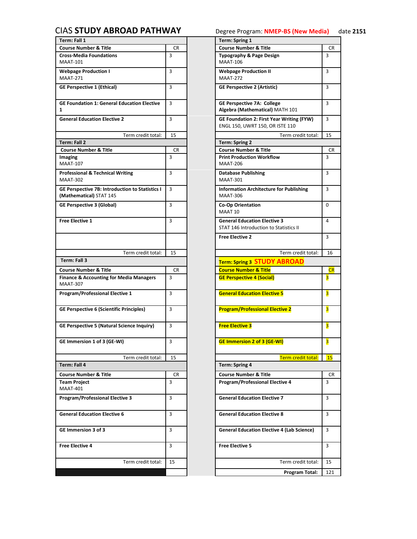## <span id="page-5-0"></span>CIAS **[STUDY ABROAD PATHWAY](#page-0-0)** Degree Program: **NMEP-BS (New Media)** date **2151**

| <b>Course Number &amp; Title</b>                                           |           | Term: Spring 1                                                                      |                         |
|----------------------------------------------------------------------------|-----------|-------------------------------------------------------------------------------------|-------------------------|
|                                                                            | <b>CR</b> | <b>Course Number &amp; Title</b>                                                    | CR                      |
| <b>Cross-Media Foundations</b><br><b>MAAT-101</b>                          | 3         | <b>Typography &amp; Page Design</b><br><b>MAAT-106</b>                              | 3                       |
| <b>Webpage Production I</b><br><b>MAAT-271</b>                             | 3         | <b>Webpage Production II</b><br><b>MAAT-272</b>                                     | 3                       |
| <b>GE Perspective 1 (Ethical)</b>                                          | 3         | <b>GE Perspective 2 (Artistic)</b>                                                  | 3                       |
| <b>GE Foundation 1: General Education Elective</b><br>$\mathbf{1}$         | 3         | <b>GE Perspective 7A: College</b><br>Algebra (Mathematical) MATH 101                | 3                       |
| <b>General Education Elective 2</b>                                        | 3         | <b>GE Foundation 2: First Year Writing (FYW)</b><br>ENGL 150, UWRT 150, OR ISTE 110 | 3                       |
| Term credit total:                                                         | 15        | Term credit total:                                                                  | 15                      |
| Term: Fall 2                                                               |           | <b>Term: Spring 2</b>                                                               |                         |
| <b>Course Number &amp; Title</b>                                           | CR        | <b>Course Number &amp; Title</b>                                                    | CR                      |
| Imaging<br><b>MAAT-107</b>                                                 | 3         | <b>Print Production Workflow</b><br><b>MAAT-206</b>                                 | 3                       |
| <b>Professional &amp; Technical Writing</b><br><b>MAAT-302</b>             | 3         | <b>Database Publishing</b><br><b>MAAT-301</b>                                       | 3                       |
| GE Perspective 7B: Introduction to Statistics I<br>(Mathematical) STAT 145 | 3         | <b>Information Architecture for Publishing</b><br><b>MAAT-306</b>                   | $\overline{3}$          |
| <b>GE Perspective 3 (Global)</b>                                           | 3         | <b>Co-Op Orientation</b><br>MAAT 10                                                 | 0                       |
| <b>Free Elective 1</b>                                                     | 3         | <b>General Education Elective 3</b><br>STAT 146 Introduction to Statistics II       | 4                       |
|                                                                            |           | <b>Free Elective 2</b>                                                              | 3                       |
| Term credit total:                                                         | 15        | Term credit total:                                                                  | 16                      |
| Term: Fall 3                                                               |           | <b>Term: Spring 3 STUDY ABROAD</b>                                                  |                         |
| <b>Course Number &amp; Title</b>                                           | <b>CR</b> | <b>Course Number &amp; Title</b>                                                    | CR                      |
|                                                                            |           |                                                                                     |                         |
| <b>Finance &amp; Accounting for Media Managers</b><br><b>MAAT-307</b>      | 3         | <b>GE Perspective 4 (Social)</b>                                                    | $\overline{\mathbf{3}}$ |
| <b>Program/Professional Elective 1</b>                                     | 3         | <b>General Education Elective 5</b>                                                 | $\overline{\mathbf{3}}$ |
| <b>GE Perspective 6 (Scientific Principles)</b>                            | 3         | <b>Program/Professional Elective 2</b>                                              | 3                       |
| <b>GE Perspective 5 (Natural Science Inquiry)</b>                          | 3         | <b>Free Elective 3</b>                                                              | 3                       |
| GE Immersion 1 of 3 (GE-WI)                                                | 3         | <b>GE Immersion 2 of 3 (GE-WI)</b>                                                  | $\overline{\mathbf{3}}$ |
| Term credit total:                                                         | 15        |                                                                                     |                         |
| Term: Fall 4                                                               |           | Term credit total:<br>Term: Spring 4                                                | 15                      |
|                                                                            |           |                                                                                     |                         |
| <b>Course Number &amp; Title</b><br><b>Team Project</b><br><b>MAAT-401</b> | CR<br>3   | <b>Course Number &amp; Title</b><br><b>Program/Professional Elective 4</b>          | CR<br>3                 |
| <b>Program/Professional Elective 3</b>                                     | 3         | <b>General Education Elective 7</b>                                                 | 3                       |
| <b>General Education Elective 6</b>                                        | 3         | <b>General Education Elective 8</b>                                                 | 3                       |
| <b>GE Immersion 3 of 3</b>                                                 | 3         | <b>General Education Elective 4 (Lab Science)</b>                                   | 3                       |
| <b>Free Elective 4</b>                                                     | 3         | <b>Free Elective 5</b>                                                              | 3                       |
| Term credit total:                                                         | 15        | Term credit total:                                                                  | 15                      |

|                     |              | Term: Spring 1                                                                |                         |
|---------------------|--------------|-------------------------------------------------------------------------------|-------------------------|
|                     | CR           | <b>Course Number &amp; Title</b>                                              | CR                      |
|                     | 3            | <b>Typography &amp; Page Design</b><br><b>MAAT-106</b>                        | 3                       |
|                     | 3            | <b>Webpage Production II</b><br><b>MAAT-272</b>                               | 3                       |
|                     | 3            | <b>GE Perspective 2 (Artistic)</b>                                            | 3                       |
| lucation Elective   | 3            | <b>GE Perspective 7A: College</b><br>Algebra (Mathematical) MATH 101          | 3                       |
|                     | 3            | GE Foundation 2: First Year Writing (FYW)<br>ENGL 150, UWRT 150, OR ISTE 110  | 3                       |
| Term credit total:  | 15           | Term credit total:                                                            | 15                      |
|                     |              | <b>Term: Spring 2</b>                                                         |                         |
|                     | CR.          | <b>Course Number &amp; Title</b>                                              | CR.                     |
|                     | 3            | <b>Print Production Workflow</b><br><b>MAAT-206</b>                           | 3                       |
| iting               | 3            | <b>Database Publishing</b><br><b>MAAT-301</b>                                 | 3                       |
| ion to Statistics I | 3            | <b>Information Architecture for Publishing</b><br><b>MAAT-306</b>             | 3                       |
|                     | 3            | <b>Co-Op Orientation</b><br>MAAT 10                                           | 0                       |
|                     | 3            | <b>General Education Elective 3</b><br>STAT 146 Introduction to Statistics II | 4                       |
|                     |              | <b>Free Elective 2</b>                                                        | 3                       |
| Term credit total:  | 15           | Term credit total:                                                            | 16                      |
|                     |              | <b>Term: Spring 3 STUDY ABROAD</b>                                            |                         |
|                     | CR.          | <b>Course Number &amp; Title</b>                                              | CR                      |
| edia Managers       | 3            | <b>GE Perspective 4 (Social)</b>                                              | 3                       |
|                     |              |                                                                               |                         |
| ve 1                | 3            | <b>General Education Elective 5</b>                                           | 3                       |
| rinciples)          | 3            | <b>Program/Professional Elective 2</b>                                        | 3                       |
| ience Inquiry)      | 3            | <b>Free Elective 3</b>                                                        | 3                       |
|                     | $\mathbf{3}$ | <b>GE Immersion 2 of 3 (GE-WI)</b>                                            | $\overline{\mathbf{3}}$ |
| Term credit total:  | 15           | Term credit total:                                                            | <b>15</b>               |
|                     |              | <b>Term: Spring 4</b>                                                         |                         |
|                     |              | <b>Course Number &amp; Title</b>                                              |                         |
|                     | CR           |                                                                               | CR                      |
|                     | 3            | <b>Program/Professional Elective 4</b>                                        | 3                       |
| ve 3                | 3            | <b>General Education Elective 7</b>                                           | 3                       |
|                     | 3            | <b>General Education Elective 8</b>                                           | 3                       |
|                     | 3            | <b>General Education Elective 4 (Lab Science)</b>                             | 3                       |
|                     | 3            | <b>Free Elective 5</b>                                                        | 3                       |
|                     |              |                                                                               |                         |
| Term credit total:  | 15           | Term credit total:                                                            | 15                      |
|                     |              | Program Total:                                                                | 121                     |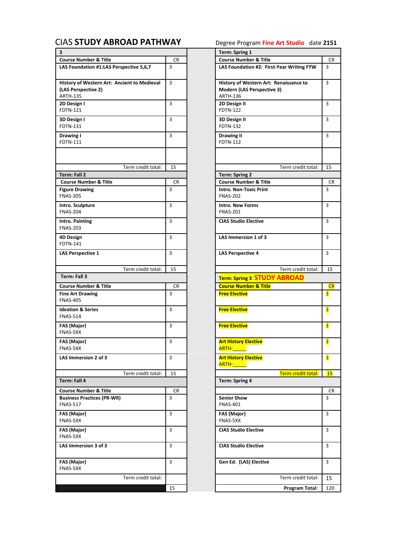## <span id="page-6-0"></span>CIAS **[STUDY ABROAD PATHWAY](#page-0-0)** Degree Program **Fine Art Studio** date **2151**

| 3                                                                                     |    | <b>Term: Spring 1</b>                                                                          |                |
|---------------------------------------------------------------------------------------|----|------------------------------------------------------------------------------------------------|----------------|
| <b>Course Number &amp; Title</b>                                                      | CR | <b>Course Number &amp; Title</b>                                                               | <b>CR</b>      |
| LAS Foundation #1:LAS Perspective 5,6,7                                               | 3  | LAS Foundation #2: First-Year Writing FYW                                                      | 3              |
| History of Western Art: Ancient to Medieval<br>(LAS Perspective 2)<br><b>ARTH-135</b> | 3  | History of Western Art: Renaissance to<br><b>Modern (LAS Perspective 3)</b><br><b>ARTH-136</b> | 3              |
| 2D Design I<br>FDTN-121                                                               | 3  | 2D Design II<br><b>FDTN-122</b>                                                                | 3              |
| 3D Design I<br>FDTN-131                                                               | 3  | 3D Design II<br><b>FDTN-132</b>                                                                | 3              |
| Drawing I<br>FDTN-111                                                                 | 3  | <b>Drawing II</b><br><b>FDTN-112</b>                                                           | 3              |
| Term credit total:                                                                    | 15 | Term credit total:                                                                             | 15             |
| Term: Fall 2                                                                          |    | <b>Term: Spring 2</b>                                                                          |                |
| <b>Course Number &amp; Title</b>                                                      | CR | <b>Course Number &amp; Title</b>                                                               | CR             |
| <b>Figure Drawing</b>                                                                 | 3  | <b>Intro. Non-Toxic Print</b>                                                                  | 3              |
| <b>FNAS-305</b>                                                                       |    | <b>FNAS-202</b>                                                                                |                |
| Intro. Sculpture<br><b>FNAS-204</b>                                                   | 3  | <b>Intro. New Forms</b><br><b>FNAS-201</b>                                                     | 3              |
| Intro. Painting<br><b>FNAS-203</b>                                                    | 3  | <b>CIAS Studio Elective</b>                                                                    | 3              |
| 4D Design<br><b>FDTN-141</b>                                                          | 3  | LAS Immersion 1 of 3                                                                           | 3              |
| LAS Perspective 1                                                                     | 3  | <b>LAS Perspective 4</b>                                                                       | $\overline{3}$ |
| Term credit total:                                                                    | 15 | Term credit total:                                                                             | 15             |
| Term: Fall 3                                                                          |    |                                                                                                |                |
|                                                                                       |    | Term: Spring 3 STUDY ABROAD                                                                    |                |
| <b>Course Number &amp; Title</b>                                                      | CR | <b>Course Number &amp; Title</b>                                                               | CR             |
| <b>Fine Art Drawing</b><br><b>FNAS-405</b>                                            | 3  | <b>Free Elective</b>                                                                           | 3              |
| <b>Ideation &amp; Series</b><br><b>FNAS-514</b>                                       | 3  | <b>Free Elective</b>                                                                           | 3              |
| FAS (Major)<br>FNAS-5XX                                                               | 3  | <b>Free Elective</b>                                                                           | 3              |
| FAS (Major)<br>FNAS-5XX                                                               | 3  | <b>Art History Elective</b><br>ARTH-                                                           | 3              |
| LAS Immersion 2 of 3                                                                  | 3  | <b>Art History Elective</b><br><b>ARTH-</b>                                                    | 3              |
| Term credit total:                                                                    | 15 | Term credit total:                                                                             | 15             |
| Term: Fall 4                                                                          |    | <b>Term: Spring 4</b>                                                                          |                |
|                                                                                       |    |                                                                                                |                |
| <b>Course Number &amp; Title</b>                                                      | CR |                                                                                                | CR             |
| <b>Business Practices (PR-WR)</b><br><b>FNAS-517</b>                                  | 3  | <b>Senior Show</b><br><b>FNAS-401</b>                                                          | $\overline{3}$ |
| <b>FAS (Major)</b><br>FNAS-5XX                                                        | 3  | FAS (Major)<br>FNAS-5XX                                                                        | 3              |
| FAS (Major)<br>FNAS-5XX                                                               | 3  | <b>CIAS Studio Elective</b>                                                                    | 3              |
| LAS Immersion 3 of 3                                                                  | 3  | <b>CIAS Studio Elective</b>                                                                    | 3              |
| FAS (Major)<br>FNAS-5XX                                                               | 3  | Gen Ed. (LAS) Elective                                                                         | $\overline{3}$ |
| Term credit total:                                                                    |    | Term credit total:                                                                             | 15             |
|                                                                                       |    |                                                                                                |                |
|                                                                                       | 15 | Program Total:                                                                                 | 120            |

|                    | CR | <b>Course Number &amp; Title</b>                                            | CR                      |
|--------------------|----|-----------------------------------------------------------------------------|-------------------------|
| oective 5,6,7      | 3  | LAS Foundation #2: First-Year Writing FYW                                   | 3                       |
| ient to Medieval   | 3  | History of Western Art: Renaissance to<br><b>Modern (LAS Perspective 3)</b> | 3                       |
|                    |    | ARTH-136                                                                    |                         |
|                    | 3  | 2D Design II<br><b>FDTN-122</b>                                             | 3                       |
|                    | 3  | 3D Design II<br><b>FDTN-132</b>                                             | 3                       |
|                    | 3  | <b>Drawing II</b><br>FDTN-112                                               | 3                       |
|                    |    |                                                                             |                         |
| Term credit total: | 15 | Term credit total:                                                          | 15                      |
|                    |    | <b>Term: Spring 2</b>                                                       |                         |
|                    | CR | <b>Course Number &amp; Title</b>                                            | CR                      |
|                    | 3  | <b>Intro. Non-Toxic Print</b><br><b>FNAS-202</b>                            | 3                       |
|                    | 3  | <b>Intro. New Forms</b><br><b>FNAS-201</b>                                  | 3                       |
|                    | 3  | <b>CIAS Studio Elective</b>                                                 | 3                       |
|                    | 3  | LAS Immersion 1 of 3                                                        | 3                       |
|                    | 3  | <b>LAS Perspective 4</b>                                                    | 3                       |
| Term credit total: | 15 | Term credit total:                                                          | 15                      |
|                    |    | <b>Term: Spring 3 STUDY ABROAD</b>                                          |                         |
|                    | CR | <b>Course Number &amp; Title</b>                                            | CR                      |
|                    | 3  | <b>Free Elective</b>                                                        | 3                       |
|                    | 3  | <b>Free Elective</b>                                                        | $\overline{\mathbf{3}}$ |
|                    | 3  | <b>Free Elective</b>                                                        | 3                       |
|                    | 3  | <b>Art History Elective</b><br><b>ARTH-</b>                                 | 3                       |
|                    | 3  | <b>Art History Elective</b><br><b>ARTH-</b>                                 | $\overline{\mathbf{3}}$ |
| Term credit total: | 15 | Term credit total:                                                          | 15                      |
|                    |    | <b>Term: Spring 4</b>                                                       |                         |
|                    | CR |                                                                             | CR                      |
|                    | 3  | <b>Senior Show</b><br><b>FNAS-401</b>                                       | 3                       |
|                    | 3  | FAS (Major)<br>FNAS-5XX                                                     | 3                       |
|                    | 3  | <b>CIAS Studio Elective</b>                                                 | 3                       |
|                    | 3  | <b>CIAS Studio Elective</b>                                                 | 3                       |
|                    | 3  | Gen Ed. (LAS) Elective                                                      | $\overline{\mathbf{3}}$ |
| Term credit total: |    | Term credit total:                                                          | 15                      |

**3 Term: Spring 1**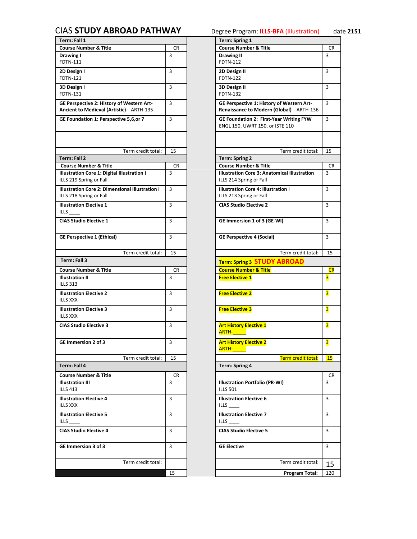## <span id="page-7-0"></span>CIAS **[STUDY ABROAD PATHWAY](#page-0-0)** Degree Program: **ILLS-BFA** (Illustration) date **2151**

| Term: Fall 1                                                                         |           | Term: Spring 1                                                                       |                         |
|--------------------------------------------------------------------------------------|-----------|--------------------------------------------------------------------------------------|-------------------------|
| <b>Course Number &amp; Title</b>                                                     | <b>CR</b> | <b>Course Number &amp; Title</b>                                                     | <b>CR</b>               |
| Drawing I<br><b>FDTN-111</b>                                                         | 3         | <b>Drawing II</b><br>FDTN-112                                                        | $\overline{3}$          |
| 2D Design I<br><b>FDTN-121</b>                                                       | 3         | 2D Design II<br><b>FDTN-122</b>                                                      | 3                       |
| 3D Design I<br><b>FDTN-131</b>                                                       | 3         | 3D Design II<br><b>FDTN-132</b>                                                      | 3                       |
| GE Perspective 2: History of Western Art-<br>Ancient to Medieval (Artistic) ARTH-135 | 3         | GE Perspective 1: History of Western Art-<br>Renaissance to Modern (Global) ARTH-136 | 3                       |
| GE Foundation 1: Perspective 5,6,or 7                                                | 3         | <b>GE Foundation 2: First-Year Writing FYW</b><br>ENGL 150, UWRT 150, or ISTE 110    | 3                       |
| Term credit total:                                                                   | 15        | Term credit total:                                                                   | 15                      |
| Term: Fall 2                                                                         |           | <b>Term: Spring 2</b>                                                                |                         |
| <b>Course Number &amp; Title</b>                                                     | CR        | <b>Course Number &amp; Title</b>                                                     | <b>CR</b>               |
| Illustration Core 1: Digital Illustration I<br>ILLS 219 Spring or Fall               | 3         | Illustration Core 3: Anatomical Illustration<br>ILLS 214 Spring or Fall              | 3                       |
| Illustration Core 2: Dimensional Illustration I<br>ILLS 218 Spring or Fall           | 3         | Illustration Core 4: Illustration I<br>ILLS 213 Spring or Fall                       | 3                       |
| <b>Illustration Elective 1</b><br><b>ILLS</b>                                        | 3         | <b>CIAS Studio Elective 2</b>                                                        | 3                       |
| <b>CIAS Studio Elective 1</b>                                                        | 3         | GE Immersion 1 of 3 (GE-WI)                                                          | $\overline{3}$          |
| <b>GE Perspective 1 (Ethical)</b>                                                    | 3         | <b>GE Perspective 4 (Social)</b>                                                     | $\overline{3}$          |
| Term credit total:                                                                   | 15        | Term credit total:                                                                   | 15                      |
| Term: Fall 3                                                                         |           | <b>Term: Spring 3 STUDY ABROAD</b>                                                   |                         |
| <b>Course Number &amp; Title</b>                                                     | CR        | <b>Course Number &amp; Title</b>                                                     | CR                      |
| <b>Illustration II</b><br><b>ILLS 313</b>                                            | 3         | <b>Free Elective 1</b>                                                               | 3                       |
| <b>Illustration Elective 2</b><br><b>ILLS XXX</b>                                    | 3         | <b>Free Elective 2</b>                                                               | 3                       |
| <b>Illustration Elective 3</b><br><b>ILLS XXX</b>                                    | 3         | <b>Free Elective 3</b>                                                               | 3                       |
| <b>CIAS Studio Elective 3</b>                                                        | 3         | <b>Art History Elective 1</b><br><b>ARTH-</b>                                        | $\overline{\mathbf{3}}$ |
| GE Immersion 2 of 3                                                                  | 3         | <b>Art History Elective 2</b><br>ARTH-                                               | $\overline{\mathbf{3}}$ |
| Term credit total:                                                                   | 15        | Term credit total:                                                                   | <b>15</b>               |
| Term: Fall 4                                                                         |           | Term: Spring 4                                                                       |                         |
| <b>Course Number &amp; Title</b>                                                     | CR        |                                                                                      | <b>CR</b>               |
| <b>Illustration III</b><br><b>ILLS 413</b>                                           | 3         | <b>Illustration Portfolio (PR-WI)</b><br><b>ILLS 501</b>                             | 3                       |
| <b>Illustration Elective 4</b><br><b>ILLS XXX</b>                                    | 3         | <b>Illustration Elective 6</b><br><b>ILLS</b>                                        | 3                       |
| <b>Illustration Elective 5</b>                                                       | 3         | <b>Illustration Elective 7</b><br><b>ILLS</b>                                        | 3                       |
| <b>CIAS Studio Elective 4</b>                                                        | 3         | <b>CIAS Studio Elective 5</b>                                                        | 3                       |
|                                                                                      |           |                                                                                      | $\overline{3}$          |
| GE Immersion 3 of 3                                                                  | 3         | <b>GE Elective</b>                                                                   |                         |
| Term credit total:                                                                   |           | Term credit total:                                                                   |                         |
|                                                                                      | 15        | Program Total:                                                                       | 15<br>120               |

|                     |           | ـ ت<br>x                                            |           |
|---------------------|-----------|-----------------------------------------------------|-----------|
|                     |           | Term: Spring 1                                      |           |
|                     | CR        | <b>Course Number &amp; Title</b>                    | CR        |
|                     | 3         | <b>Drawing II</b>                                   | 3         |
|                     |           | FDTN-112                                            |           |
|                     | 3         | 2D Design II                                        | 3         |
|                     |           | <b>FDTN-122</b>                                     |           |
|                     |           |                                                     |           |
|                     | 3         | 3D Design II                                        | 3         |
|                     |           | <b>FDTN-132</b>                                     |           |
| <b>Western Art-</b> | 3         | GE Perspective 1: History of Western Art-           | 3         |
| :) ARTH-135         |           | Renaissance to Modern (Global) ARTH-136             |           |
| e 5,6,or 7          | 3         | GE Foundation 2: First-Year Writing FYW             | 3         |
|                     |           | ENGL 150, UWRT 150, or ISTE 110                     |           |
|                     |           |                                                     |           |
|                     |           |                                                     |           |
|                     |           |                                                     |           |
| Term credit total:  | 15        | Term credit total:                                  | 15        |
|                     |           | <b>Term: Spring 2</b>                               |           |
|                     | CR        | <b>Course Number &amp; Title</b>                    | CR        |
| ustration I         | 3         | <b>Illustration Core 3: Anatomical Illustration</b> | 3         |
|                     |           | ILLS 214 Spring or Fall                             |           |
| nal Illustration I  | 3         | Illustration Core 4: Illustration I                 | 3         |
|                     |           | ILLS 213 Spring or Fall                             |           |
|                     |           |                                                     |           |
|                     | 3         | <b>CIAS Studio Elective 2</b>                       | 3         |
|                     |           |                                                     |           |
|                     | 3         | GE Immersion 1 of 3 (GE-WI)                         | 3         |
|                     |           |                                                     |           |
|                     | 3         | <b>GE Perspective 4 (Social)</b>                    | 3         |
|                     |           |                                                     |           |
|                     |           |                                                     |           |
| Term credit total:  | 15        | Term credit total:                                  | 15        |
|                     |           | <b>Term: Spring 3 STUDY ABROAD</b>                  |           |
|                     | CR        | <b>Course Number &amp; Title</b>                    | CR        |
|                     | 3         | <b>Free Elective 1</b>                              | 3         |
|                     |           |                                                     |           |
|                     |           |                                                     |           |
|                     | 3         | <b>Free Elective 2</b>                              | 3         |
|                     |           |                                                     |           |
|                     | 3         | <b>Free Elective 3</b>                              | 3         |
|                     |           |                                                     |           |
|                     | 3         | <b>Art History Elective 1</b>                       | 3         |
|                     |           | ARTH-                                               |           |
|                     |           |                                                     |           |
|                     | 3         | <b>Art History Elective 2</b>                       | 3         |
|                     |           | <b>ARTH-</b>                                        |           |
| Term credit total:  | 15        | Term credit total:                                  | <b>15</b> |
|                     |           | <b>Term: Spring 4</b>                               |           |
|                     |           |                                                     |           |
|                     | <b>CR</b> |                                                     | CR        |
|                     | 3         | Illustration Portfolio (PR-WI)                      | 3         |
|                     |           | <b>ILLS 501</b>                                     |           |
|                     | 3         | <b>Illustration Elective 6</b>                      | 3         |
|                     |           | <b>ILLS</b>                                         |           |
|                     | 3         | <b>Illustration Elective 7</b>                      | 3         |
|                     |           |                                                     |           |
|                     |           | ILLS                                                |           |
|                     | 3         | <b>CIAS Studio Elective 5</b>                       | 3         |
|                     |           |                                                     |           |
|                     | 3         | <b>GE Elective</b>                                  | 3         |
|                     |           |                                                     |           |
|                     |           |                                                     |           |
|                     |           | Term credit total:                                  |           |
| Term credit total:  |           |                                                     | 15        |
|                     | 15        | Program Total:                                      | 120       |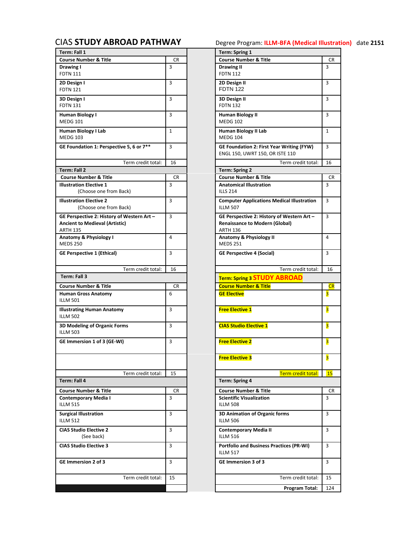| Term: Fall 1                                                                        |              | <b>Term: Spring 1</b>                                                               |                         |
|-------------------------------------------------------------------------------------|--------------|-------------------------------------------------------------------------------------|-------------------------|
| <b>Course Number &amp; Title</b>                                                    | <b>CR</b>    | <b>Course Number &amp; Title</b>                                                    | CR                      |
| Drawing I                                                                           | 3            | <b>Drawing II</b>                                                                   | 3                       |
| <b>FDTN 111</b>                                                                     |              | <b>FDTN 112</b>                                                                     |                         |
| 2D Design I                                                                         | 3            | 2D Design II                                                                        | 3                       |
| <b>FDTN 121</b>                                                                     |              | <b>FDTN 122</b>                                                                     |                         |
| 3D Design I                                                                         | 3            | 3D Design II                                                                        | 3                       |
| <b>FDTN 131</b>                                                                     |              | <b>FDTN 132</b>                                                                     |                         |
| Human Biology I                                                                     | 3            | <b>Human Biology II</b>                                                             | 3                       |
| <b>MEDG 101</b>                                                                     |              | <b>MEDG 102</b>                                                                     |                         |
| Human Biology I Lab                                                                 | $\mathbf{1}$ | Human Biology II Lab                                                                | $\mathbf{1}$            |
| <b>MEDG 103</b>                                                                     |              | <b>MEDG 104</b>                                                                     |                         |
| GE Foundation 1: Perspective 5, 6 or 7**                                            | 3            | <b>GE Foundation 2: First Year Writing (FYW)</b>                                    | 3                       |
|                                                                                     |              | ENGL 150, UWRT 150, OR ISTE 110                                                     |                         |
| Term credit total:                                                                  | 16           | Term credit total:                                                                  | 16                      |
| Term: Fall 2                                                                        |              | <b>Term: Spring 2</b>                                                               |                         |
| <b>Course Number &amp; Title</b>                                                    | CR.          | <b>Course Number &amp; Title</b>                                                    | <b>CR</b>               |
| <b>Illustration Elective 1</b>                                                      | 3            | <b>Anatomical Illustration</b>                                                      | 3                       |
| (Choose one from Back)                                                              |              | <b>ILLS 214</b>                                                                     |                         |
| <b>Illustration Elective 2</b>                                                      | 3            | <b>Computer Applications Medical Illustration</b>                                   | $\overline{3}$          |
| (Choose one from Back)                                                              |              | <b>ILLM 507</b>                                                                     |                         |
|                                                                                     |              |                                                                                     |                         |
| GE Perspective 2: History of Western Art -<br><b>Ancient to Medieval (Artistic)</b> | 3            | GE Perspective 2: History of Western Art -<br><b>Renaissance to Modern (Global)</b> | 3                       |
| <b>ARTH 135</b>                                                                     |              | <b>ARTH 136</b>                                                                     |                         |
| Anatomy & Physiology I                                                              | 4            | Anatomy & Physiology II                                                             | $\overline{4}$          |
| <b>MEDS 250</b>                                                                     |              | <b>MEDS 251</b>                                                                     |                         |
| <b>GE Perspective 1 (Ethical)</b>                                                   | 3            | <b>GE Perspective 4 (Social)</b>                                                    | 3                       |
|                                                                                     |              |                                                                                     |                         |
| Term credit total:                                                                  | 16           | Term credit total:                                                                  | 16                      |
| Term: Fall 3                                                                        |              |                                                                                     |                         |
|                                                                                     |              | <b>Term: Spring 3 STUDY ABROAD</b>                                                  |                         |
| <b>Course Number &amp; Title</b>                                                    | CR.          | <b>Course Number &amp; Title</b>                                                    | CR                      |
| <b>Human Gross Anatomy</b><br><b>ILLM 501</b>                                       | 6            | <b>GE Elective</b>                                                                  | $\overline{\mathbf{3}}$ |
|                                                                                     |              |                                                                                     |                         |
| <b>Illustrating Human Anatomy</b>                                                   | 3            | <b>Free Elective 1</b>                                                              | $\overline{\mathbf{3}}$ |
|                                                                                     |              |                                                                                     |                         |
| <b>ILLM 502</b>                                                                     |              |                                                                                     |                         |
| 3D Modeling of Organic Forms                                                        | 3            | <b>CIAS Studio Elective 1</b>                                                       | $\overline{\mathbf{3}}$ |
| <b>ILLM 503</b>                                                                     |              |                                                                                     |                         |
| GE Immersion 1 of 3 (GE-WI)                                                         | 3            | <b>Free Elective 2</b>                                                              | 3                       |
|                                                                                     |              |                                                                                     |                         |
|                                                                                     |              | <b>Free Elective 3</b>                                                              | 3                       |
|                                                                                     |              |                                                                                     |                         |
| Term credit total:                                                                  | 15           | Term credit total:                                                                  |                         |
| Term: Fall 4                                                                        |              | Term: Spring 4                                                                      |                         |
| <b>Course Number &amp; Title</b>                                                    | CR.          | <b>Course Number &amp; Title</b>                                                    | <b>15</b><br>CR         |
| <b>Contemporary Media I</b>                                                         | 3            | <b>Scientific Visualization</b>                                                     | 3                       |
| <b>ILLM 515</b>                                                                     |              | <b>ILLM 508</b>                                                                     |                         |
|                                                                                     | 3            |                                                                                     | 3                       |
| <b>Surgical Illustration</b><br><b>ILLM 512</b>                                     |              | 3D Animation of Organic forms<br><b>ILLM 506</b>                                    |                         |
|                                                                                     |              |                                                                                     |                         |
| <b>CIAS Studio Elective 2</b><br>(See back)                                         | 3            | <b>Contemporary Media II</b><br><b>ILLM 516</b>                                     | 3                       |
|                                                                                     |              |                                                                                     |                         |
| <b>CIAS Studio Elective 3</b>                                                       | 3            | <b>Portfolio and Business Practices (PR-WI)</b>                                     | 3                       |
|                                                                                     |              | <b>ILLM 517</b>                                                                     |                         |
| <b>GE Immersion 2 of 3</b>                                                          | 3            | <b>GE Immersion 3 of 3</b>                                                          | 3                       |
|                                                                                     |              |                                                                                     |                         |
| Term credit total:                                                                  | 15           | Term credit total:                                                                  | 15                      |

<span id="page-8-0"></span>CIAS **[STUDY ABROAD PATHWAY](#page-0-0)** Degree Program: **ILLM-BFA (Medical Illustration)** date **2151**

|                    |         | Term: Spring 1<br><b>Course Number &amp; Title</b>                   |              |
|--------------------|---------|----------------------------------------------------------------------|--------------|
|                    | CR<br>3 | Drawing II                                                           | CR<br>3      |
|                    |         | <b>FDTN 112</b>                                                      |              |
|                    |         |                                                                      |              |
|                    | 3       | 2D Design II<br><b>FDTN 122</b>                                      | 3            |
|                    | 3       |                                                                      | 3            |
|                    |         | 3D Design II<br><b>FDTN 132</b>                                      |              |
|                    | 3       |                                                                      | 3            |
|                    |         | Human Biology II<br><b>MEDG 102</b>                                  |              |
|                    |         | <b>Human Biology II Lab</b>                                          | $\mathbf{1}$ |
|                    | 1       | <b>MEDG 104</b>                                                      |              |
| e 5, 6 or 7**      | 3       | <b>GE Foundation 2: First Year Writing (FYW)</b>                     | 3            |
|                    |         | ENGL 150, UWRT 150, OR ISTE 110                                      |              |
| Term credit total: | 16      | Term credit total:                                                   | 16           |
|                    |         | <b>Term: Spring 2</b>                                                |              |
|                    | CR      | <b>Course Number &amp; Title</b>                                     | CR           |
|                    | 3       | <b>Anatomical Illustration</b>                                       | 3            |
| ıck)               |         | <b>ILLS 214</b>                                                      |              |
|                    |         |                                                                      |              |
| ıck)               | 3       | <b>Computer Applications Medical Illustration</b><br><b>ILLM 507</b> | 3            |
|                    |         |                                                                      |              |
| —<br>Western Art – | 3       | GE Perspective 2: History of Western Art -                           | 3            |
| :)                 |         | <b>Renaissance to Modern (Global)</b>                                |              |
|                    |         | <b>ARTH 136</b>                                                      |              |
|                    | 4       | Anatomy & Physiology II                                              | 4            |
|                    |         | <b>MEDS 251</b>                                                      |              |
|                    | 3       | <b>GE Perspective 4 (Social)</b>                                     | 3            |
|                    |         |                                                                      |              |
| Term credit total: | 16      | Term credit total:                                                   | 16           |
|                    |         | <b>Term: Spring 3 STUDY ABROAD</b>                                   |              |
|                    | CR      | <b>Course Number &amp; Title</b>                                     | CR           |
|                    | 6       | <b>GE Elective</b>                                                   | 3            |
|                    |         |                                                                      |              |
|                    | 3       | <b>Free Elective 1</b>                                               | 3            |
|                    |         |                                                                      |              |
|                    |         |                                                                      |              |
| ns                 | 3       | <b>CIAS Studio Elective 1</b>                                        | 3            |
|                    |         |                                                                      |              |
|                    | 3       | <b>Free Elective 2</b>                                               | 3            |
|                    |         |                                                                      |              |
|                    |         | <b>Free Elective 3</b>                                               | 3            |
|                    |         |                                                                      |              |
| Term credit total: | 15      | Term credit total:                                                   | <b>15</b>    |
|                    |         | <b>Term: Spring 4</b>                                                |              |
|                    | CR      | <b>Course Number &amp; Title</b>                                     | CR           |
|                    | 3       | <b>Scientific Visualization</b>                                      | 3            |
|                    |         | <b>ILLM 508</b>                                                      |              |
|                    | 3       | 3D Animation of Organic forms                                        | 3            |
|                    |         | <b>ILLM 506</b>                                                      |              |
|                    |         |                                                                      |              |
|                    | 3       | <b>Contemporary Media II</b><br><b>ILLM 516</b>                      | 3            |
|                    |         |                                                                      |              |
|                    | 3       | <b>Portfolio and Business Practices (PR-WI)</b>                      | 3            |
|                    |         | <b>ILLM 517</b>                                                      |              |
|                    | 3       | GE Immersion 3 of 3                                                  | 3            |
|                    |         |                                                                      |              |
| Term credit total: | 15      | Term credit total:                                                   | 15           |
|                    |         | Program Total:                                                       | 124          |
|                    |         |                                                                      |              |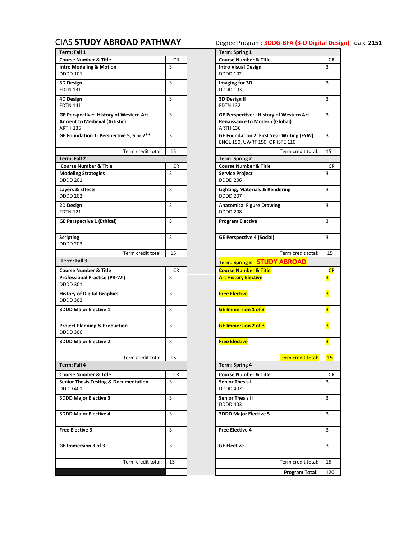# <span id="page-9-0"></span>CIAS **[STUDY ABROAD PATHWAY](#page-0-0)** Degree Program: **3DDG-BFA (3-D Digital Design)** date **2151**

| Term: Fall 1                                                                                         |           | <b>Term: Spring 1</b>                                                                                  |                         |
|------------------------------------------------------------------------------------------------------|-----------|--------------------------------------------------------------------------------------------------------|-------------------------|
| <b>Course Number &amp; Title</b>                                                                     | CR.       | <b>Course Number &amp; Title</b>                                                                       | CR                      |
| <b>Intro Modeling &amp; Motion</b><br><b>DDDD 101</b>                                                | 3         | <b>Intro Visual Design</b><br><b>DDDD 102</b>                                                          | 3                       |
| 3D Design I<br><b>FDTN 131</b>                                                                       | 3         | Imaging for 3D<br><b>DDDD 103</b>                                                                      | 3                       |
| 4D Design I<br><b>FDTN 141</b>                                                                       | 3         | 3D Design II<br><b>FDTN 132</b>                                                                        | 3                       |
| GE Perspective: History of Western Art -<br><b>Ancient to Medieval (Artistic)</b><br><b>ARTH 135</b> | 3         | GE Perspective: : History of Western Art -<br><b>Renaissance to Modern (Global)</b><br><b>ARTH 136</b> | 3                       |
| GE Foundation 1: Perspective 5, 6 or 7**                                                             | 3         | <b>GE Foundation 2: First Year Writing (FYW)</b><br>ENGL 150, UWRT 150, OR ISTE 110                    | 3                       |
| Term credit total:                                                                                   | 15        | Term credit total:                                                                                     | 15                      |
| Term: Fall 2                                                                                         |           | <b>Term: Spring 2</b>                                                                                  |                         |
| <b>Course Number &amp; Title</b>                                                                     | <b>CR</b> | <b>Course Number &amp; Title</b>                                                                       | <b>CR</b>               |
| <b>Modeling Strategies</b><br><b>DDDD 201</b>                                                        | 3         | <b>Service Project</b><br><b>DDDD 206</b>                                                              | 3                       |
| Layers & Effects<br><b>DDDD 202</b>                                                                  | 3         | <b>Lighting, Materials &amp; Rendering</b><br><b>DDDD 207</b>                                          | 3                       |
| 2D Design I<br><b>FDTN 121</b>                                                                       | 3         | <b>Anatomical Figure Drawing</b><br><b>DDDD 208</b>                                                    | 3                       |
| <b>GE Perspective 1 (Ethical)</b>                                                                    | 3         | <b>Program Elective</b>                                                                                | 3                       |
| <b>Scripting</b><br><b>DDDD 203</b>                                                                  | 3         | <b>GE Perspective 4 (Social)</b>                                                                       | 3                       |
| Term credit total:                                                                                   | 15        | Term credit total:                                                                                     | 15                      |
| Term: Fall 3                                                                                         |           | Term: Spring 3 STUDY ABROAD                                                                            |                         |
| <b>Course Number &amp; Title</b>                                                                     | CR.       | <b>Course Number &amp; Title</b>                                                                       | CR                      |
| <b>Professional Practice (PR-WI)</b>                                                                 | 3         | <b>Art History Elective</b>                                                                            | 3                       |
| <b>DDDD 301</b>                                                                                      |           |                                                                                                        |                         |
| <b>History of Digital Graphics</b><br><b>DDDD 302</b>                                                | 3         | <b>Free Elective</b>                                                                                   | 3                       |
| <b>3DDD Major Elective 1</b>                                                                         | 3         | <b>GE Immersion 1 of 3</b>                                                                             | 3                       |
| <b>Project Planning &amp; Production</b><br><b>DDDD 306</b>                                          | 3         | <b>GE Immersion 2 of 3</b>                                                                             | $\overline{\mathbf{3}}$ |
| <b>3DDD Major Elective 2</b>                                                                         | 3         | <b>Free Elective</b>                                                                                   | 3                       |
| Term credit total:                                                                                   | 15        | Term credit total:                                                                                     | 15                      |
| Term: Fall 4                                                                                         |           | <b>Term: Spring 4</b>                                                                                  |                         |
| <b>Course Number &amp; Title</b>                                                                     | CR        | <b>Course Number &amp; Title</b>                                                                       | <b>CR</b>               |
| <b>Senior Thesis Testing &amp; Documentation</b>                                                     | 3         | <b>Senior Thesis I</b>                                                                                 | 3                       |
| <b>DDDD 401</b>                                                                                      |           | <b>DDDD 402</b>                                                                                        |                         |
| <b>3DDD Major Elective 3</b>                                                                         | 3         | <b>Senior Thesis II</b><br><b>DDDD 403</b>                                                             | 3                       |
| <b>3DDD Major Elective 4</b>                                                                         | 3         | <b>3DDD Major Elective 5</b>                                                                           | 3                       |
| <b>Free Elective 3</b>                                                                               | 3         | <b>Free Elective 4</b>                                                                                 | 3                       |
| GE Immersion 3 of 3                                                                                  | 3         | <b>GE Elective</b>                                                                                     | 3                       |
| Term credit total:                                                                                   | 15        | Term credit total:                                                                                     | 15                      |
|                                                                                                      |           | Program Total:                                                                                         | 120                     |

|                                |     | Term: Spring 1                                                                                         |           |
|--------------------------------|-----|--------------------------------------------------------------------------------------------------------|-----------|
|                                | CR  | <b>Course Number &amp; Title</b>                                                                       | CR        |
|                                | 3   | <b>Intro Visual Design</b><br><b>DDDD 102</b>                                                          | 3         |
|                                | 3   | Imaging for 3D<br><b>DDDD 103</b>                                                                      | 3         |
|                                | 3   | 3D Design II<br><b>FDTN 132</b>                                                                        | 3         |
| Vestern Art –<br>:)            | 3   | GE Perspective: : History of Western Art -<br><b>Renaissance to Modern (Global)</b><br><b>ARTH 136</b> | 3         |
| e 5, 6 or 7 $^{\overline{**}}$ | 3   | <b>GE Foundation 2: First Year Writing (FYW)</b><br>ENGL 150, UWRT 150, OR ISTE 110                    | 3         |
| Term credit total:             | 15  | Term credit total:                                                                                     | 15        |
|                                |     | <b>Term: Spring 2</b>                                                                                  |           |
|                                | CR. | <b>Course Number &amp; Title</b>                                                                       | CR.       |
|                                | 3   | <b>Service Project</b><br><b>DDDD 206</b>                                                              | 3         |
|                                | 3   | <b>Lighting, Materials &amp; Rendering</b><br><b>DDDD 207</b>                                          | 3         |
|                                | 3   | <b>Anatomical Figure Drawing</b><br><b>DDDD 208</b>                                                    | 3         |
|                                | 3   | <b>Program Elective</b>                                                                                | 3         |
|                                | 3   | <b>GE Perspective 4 (Social)</b>                                                                       | 3         |
| Term credit total:             | 15  | Term credit total:                                                                                     | 15        |
|                                |     | <b>Term: Spring 3 STUDY ABROAD</b>                                                                     |           |
|                                | CR  | <b>Course Number &amp; Title</b>                                                                       | <b>CR</b> |
| )                              | 3   | <b>Art History Elective</b>                                                                            | 3         |
|                                | 3   | <b>Free Elective</b>                                                                                   | 3         |
|                                | 3   | <b>GE Immersion 1 of 3</b>                                                                             | 3         |
| )n                             | 3   | <b>GE Immersion 2 of 3</b>                                                                             | 3         |
|                                | 3   | <b>Free Elective</b>                                                                                   | 3         |
| Term credit total:             | 15  | Term credit total:                                                                                     | <b>15</b> |
|                                |     | <b>Term: Spring 4</b>                                                                                  |           |
|                                | CR  | <b>Course Number &amp; Title</b>                                                                       | CR        |
| <b>Imentation</b>              | 3   | <b>Senior Thesis I</b>                                                                                 | 3         |
|                                |     | <b>DDDD 402</b>                                                                                        |           |
|                                | 3   | <b>Senior Thesis II</b><br><b>DDDD 403</b>                                                             | 3         |
|                                | 3   | <b>3DDD Major Elective 5</b>                                                                           | 3         |
|                                | 3   | <b>Free Elective 4</b>                                                                                 | 3         |
|                                | 3   | <b>GE Elective</b>                                                                                     | 3         |
| Term credit total:             | 15  | Term credit total:                                                                                     | 15        |
|                                |     | Program Total:                                                                                         | 120       |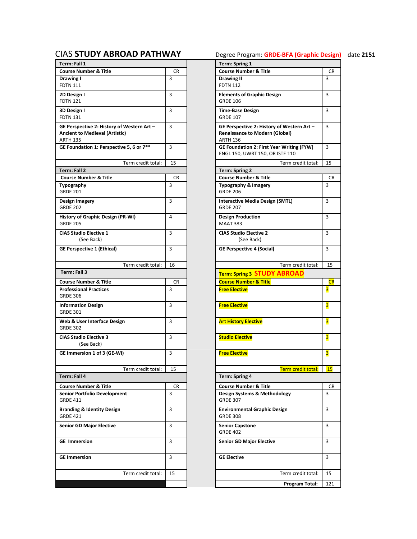|                                                                                                        |                | Term: Spring 1                                                                                         |                |
|--------------------------------------------------------------------------------------------------------|----------------|--------------------------------------------------------------------------------------------------------|----------------|
| <b>Course Number &amp; Title</b>                                                                       | <b>CR</b>      | <b>Course Number &amp; Title</b>                                                                       | <b>CR</b>      |
| Drawing I<br><b>FDTN 111</b>                                                                           | 3              | <b>Drawing II</b><br><b>FDTN 112</b>                                                                   | $\overline{3}$ |
| 2D Design I<br><b>FDTN 121</b>                                                                         | 3              | <b>Elements of Graphic Design</b><br><b>GRDE 106</b>                                                   | $\overline{3}$ |
| 3D Design I<br><b>FDTN 131</b>                                                                         | 3              | <b>Time-Base Design</b><br><b>GRDE 107</b>                                                             | 3              |
| GE Perspective 2: History of Western Art -<br><b>Ancient to Medieval (Artistic)</b><br><b>ARTH 135</b> | 3              | GE Perspective 2: History of Western Art -<br><b>Renaissance to Modern (Global)</b><br><b>ARTH 136</b> | 3              |
| GE Foundation 1: Perspective 5, 6 or 7**                                                               | 3              | GE Foundation 2: First Year Writing (FYW)<br>ENGL 150, UWRT 150, OR ISTE 110                           | 3              |
| Term credit total:                                                                                     | 15             | Term credit total:                                                                                     | 15             |
| <b>Term: Fall 2</b>                                                                                    |                | <b>Term: Spring 2</b>                                                                                  |                |
| <b>Course Number &amp; Title</b>                                                                       | CR             | <b>Course Number &amp; Title</b>                                                                       | CR             |
| <b>Typography</b><br><b>GRDE 201</b>                                                                   | 3              | Typography & Imagery<br><b>GRDE 206</b>                                                                | $\overline{3}$ |
| Design Imagery<br><b>GRDE 202</b>                                                                      | 3              | <b>Interactive Media Design (SMTL)</b><br><b>GRDE 207</b>                                              | $\overline{3}$ |
| History of Graphic Design (PR-WI)<br><b>GRDE 205</b>                                                   | 4              | <b>Design Production</b><br><b>MAAT 383</b>                                                            | 3              |
| <b>CIAS Studio Elective 1</b><br>(See Back)                                                            | 3              | <b>CIAS Studio Elective 2</b><br>(See Back)                                                            | 3              |
| <b>GE Perspective 1 (Ethical)</b>                                                                      | 3              | <b>GE Perspective 4 (Social)</b>                                                                       | 3              |
| Term credit total:                                                                                     | 16             | Term credit total:                                                                                     | 15             |
| Term: Fall 3                                                                                           |                | <b>Term: Spring 3 STUDY ABROAD</b>                                                                     |                |
|                                                                                                        |                | <b>Course Number &amp; Title</b>                                                                       |                |
| <b>Course Number &amp; Title</b>                                                                       | CR             |                                                                                                        | <b>CR</b>      |
| <b>Professional Practices</b><br><b>GRDE 306</b>                                                       | 3              | <b>Free Elective</b>                                                                                   | 3              |
| <b>Information Design</b><br><b>GRDE 301</b>                                                           | 3              | <b>Free Elective</b>                                                                                   | 3              |
|                                                                                                        |                | <b>Art History Elective</b>                                                                            | 3              |
| Web & User Interface Design<br><b>GRDE 302</b>                                                         | 3              |                                                                                                        |                |
| <b>CIAS Studio Elective 3</b><br>(See Back)                                                            | 3              | <b>Studio Elective</b>                                                                                 | 3              |
| GE Immersion 1 of 3 (GE-WI)                                                                            | 3              | <b>Free Elective</b>                                                                                   | 3              |
| Term credit total:                                                                                     | 15             | Term credit total:                                                                                     |                |
| Term: Fall 4                                                                                           |                | Term: Spring 4                                                                                         | <b>15</b>      |
|                                                                                                        |                |                                                                                                        |                |
| <b>Course Number &amp; Title</b><br><b>Senior Portfolio Development</b><br><b>GRDE 411</b>             | <b>CR</b><br>3 | <b>Course Number &amp; Title</b><br>Design Systems & Methodology<br><b>GRDE 307</b>                    | <b>CR</b><br>3 |
| <b>Branding &amp; Identity Design</b><br><b>GRDE 421</b>                                               | 3              | <b>Environmental Graphic Design</b><br><b>GRDE 308</b>                                                 | $\overline{3}$ |
| <b>Senior GD Major Elective</b>                                                                        | 3              | <b>Senior Capstone</b><br><b>GRDE 402</b>                                                              | 3              |
| <b>GE</b> Immersion                                                                                    | 3              | <b>Senior GD Major Elective</b>                                                                        | 3              |
| <b>GE Immersion</b>                                                                                    | 3              | <b>GE Elective</b>                                                                                     | 3              |
| Term credit total:                                                                                     | 15             | Term credit total:                                                                                     | 15             |

# <span id="page-10-0"></span>CIAS **[STUDY ABROAD PATHWAY](#page-0-0)** Degree Program: **GRDE-BFA (Graphic Design)** date **2151**

|                    | CR |
|--------------------|----|
|                    | 3  |
|                    |    |
|                    | 3  |
|                    |    |
|                    |    |
|                    | 3  |
|                    |    |
| Western Art –      | 3  |
|                    |    |
| :)                 |    |
|                    |    |
| e 5, 6 or 7**      | 3  |
|                    |    |
| Term credit total: | 15 |
|                    |    |
|                    | CR |
|                    |    |
|                    | 3  |
|                    |    |
|                    | 3  |
|                    |    |
|                    |    |
| R-WI)              | 4  |
|                    |    |
|                    | 3  |
|                    |    |
|                    |    |
|                    | 3  |
|                    |    |
| Term credit total: | 16 |
|                    |    |
|                    |    |
|                    | CR |
|                    |    |
|                    | 3  |
|                    |    |
|                    |    |
|                    | 3  |
|                    |    |
| ۱                  | 3  |
|                    |    |
|                    |    |
|                    | 3  |
|                    |    |
|                    | 3  |
|                    |    |
|                    |    |
| Term credit total: | 15 |
|                    |    |
|                    |    |
|                    | CR |
| ٦t                 | 3  |
|                    |    |
|                    | 3  |
|                    |    |
|                    |    |
|                    | 3  |
|                    |    |
|                    | 3  |
|                    |    |
|                    |    |
|                    | 3  |
|                    |    |
| Term credit total: | 15 |
|                    |    |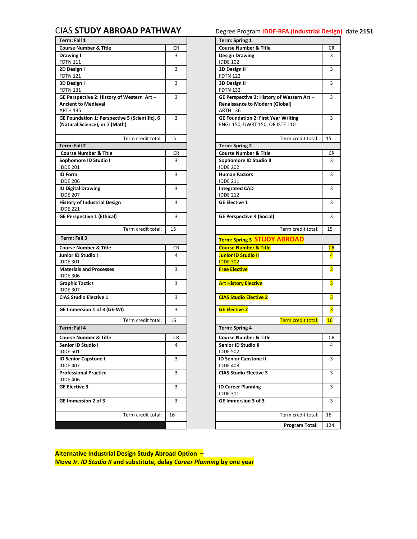## <span id="page-11-0"></span>CIAS **[STUDY ABROAD PATHWAY](#page-0-0)** Degree Program **IDDE-BFA (Industrial Design)** date **2151**

| Term: Fall 1                                   |           | <b>Term: Spring 1</b>                      |                         |
|------------------------------------------------|-----------|--------------------------------------------|-------------------------|
| <b>Course Number &amp; Title</b>               | CR        | <b>Course Number &amp; Title</b>           | CR                      |
| Drawing I                                      | 3         | <b>Design Drawing</b>                      | 3                       |
| <b>FDTN 111</b>                                |           | <b>IDDE 102</b>                            |                         |
| 2D Design I                                    | 3         | 2D Design II                               | 3                       |
| <b>FDTN 121</b>                                |           | <b>FDTN 122</b>                            |                         |
| 3D Design I                                    | 3         | 3D Design II                               | 3                       |
| <b>FDTN 131</b>                                |           | <b>FDTN 132</b>                            |                         |
| GE Perspective 2: History of Western Art -     | 3         | GE Perspective 3: History of Western Art - | 3                       |
| <b>Ancient to Medieval</b>                     |           | <b>Renaissance to Modern (Global)</b>      |                         |
| <b>ARTH 135</b>                                |           | <b>ARTH 136</b>                            |                         |
| GE Foundation 1: Perspective 5 (Scientific), 6 | 3         | <b>GE Foundation 2: First Year Writing</b> | 3                       |
| (Natural Science), or 7 (Math)                 |           | ENGL 150, UWRT 150, OR ISTE 110            |                         |
|                                                |           |                                            |                         |
| Term credit total:                             | 15        | Term credit total:                         | 15                      |
| <b>Term: Fall 2</b>                            |           | <b>Term: Spring 2</b>                      |                         |
| <b>Course Number &amp; Title</b>               | CR.       | <b>Course Number &amp; Title</b>           | CR                      |
| Sophomore ID Studio I                          | 3         | Sophomore ID Studio II                     | 3                       |
| <b>IDDE 201</b>                                |           | <b>IDDE 202</b>                            |                         |
| <b>ID Form</b>                                 | 3         | <b>Human Factors</b>                       | 3                       |
| <b>IDDE 206</b>                                |           | <b>IDDE 211</b>                            |                         |
| <b>ID Digital Drawing</b>                      | 3         | <b>Integrated CAD</b>                      | 3                       |
| <b>IDDE 207</b>                                |           | <b>IDDE 212</b>                            |                         |
| <b>History of Industrial Design</b>            | 3         | <b>GE Elective 1</b>                       | 3                       |
| <b>IDDE 221</b>                                |           |                                            |                         |
| <b>GE Perspective 1 (Ethical)</b>              | 3         | <b>GE Perspective 4 (Social)</b>           | 3                       |
| Term credit total:                             | 15        | Term credit total:                         | 15                      |
| Term: Fall 3                                   |           | <b>Term: Spring 3 STUDY ABROAD</b>         |                         |
| <b>Course Number &amp; Title</b>               | CR        | <b>Course Number &amp; Title</b>           | CR                      |
| Junior ID Studio I                             | 4         | <b>Junior ID Studio II</b>                 | $\overline{\mathbf{4}}$ |
| <b>IDDE 301</b>                                |           | <b>IDDE 302</b>                            |                         |
| <b>Materials and Processes</b>                 | 3         | <b>Free Elective</b>                       | 3                       |
| <b>IDDE 306</b>                                |           |                                            |                         |
| <b>Graphic Tactics</b>                         | 3         | <b>Art History Elective</b>                | 3                       |
| <b>IDDE 307</b>                                |           |                                            |                         |
| <b>CIAS Studio Elective 1</b>                  | 3         | <b>CIAS Studio Elective 2</b>              | 3                       |
|                                                |           |                                            |                         |
| GE Immersion 1 of 3 (GE-WI)                    | 3         | <b>GE Elective 2</b>                       | 3                       |
| Term credit total:                             | 16        | Term credit total:                         | 16                      |
| Term: Fall 4                                   |           | <b>Term: Spring 4</b>                      |                         |
| <b>Course Number &amp; Title</b>               | <b>CR</b> | <b>Course Number &amp; Title</b>           | CR                      |
| Senior ID Studio I                             | 4         | Senior ID Studio II                        | 4                       |
| <b>IDDE 501</b>                                |           | <b>IDDE 502</b>                            |                         |
| <b>ID Senior Capstone I</b>                    | 3         | <b>ID Senior Capstone II</b>               | 3                       |
| <b>IDDE 407</b>                                |           | <b>IDDE 408</b>                            |                         |
|                                                |           | <b>CIAS Studio Elective 3</b>              | 3                       |
|                                                |           |                                            |                         |
| <b>Professional Practice</b>                   | 3         |                                            |                         |
| <b>IDDE 406</b>                                |           |                                            |                         |
| <b>GE Elective 3</b>                           | 3         | <b>ID Career Planning</b>                  |                         |
|                                                |           | <b>IDDE 311</b>                            |                         |
| GE Immersion 2 of 3                            | 3         | GE Immersion 3 of 3                        |                         |
|                                                |           |                                            | 3<br>3                  |
| Term credit total:                             | 16        | Term credit total:                         | 16                      |

|                     |    | Term: Spring 1                             |                         |
|---------------------|----|--------------------------------------------|-------------------------|
|                     | CR | <b>Course Number &amp; Title</b>           | CR                      |
|                     | 3  | <b>Design Drawing</b>                      | 3                       |
|                     |    | <b>IDDE 102</b>                            |                         |
|                     | 3  | 2D Design II                               | 3                       |
|                     |    | <b>FDTN 122</b>                            |                         |
|                     | 3  | 3D Design II                               | 3                       |
|                     |    | <b>FDTN 132</b>                            |                         |
| Western Art –       | 3  | GE Perspective 3: History of Western Art - | 3                       |
|                     |    | <b>Renaissance to Modern (Global)</b>      |                         |
|                     |    | <b>ARTH 136</b>                            |                         |
| e 5 (Scientific), 6 | 3  | <b>GE Foundation 2: First Year Writing</b> | 3                       |
| ı)                  |    | ENGL 150, UWRT 150, OR ISTE 110            |                         |
|                     |    |                                            |                         |
| Term credit total:  | 15 | Term credit total:                         | 15                      |
|                     |    | Term: Spring 2                             |                         |
|                     | CR | <b>Course Number &amp; Title</b>           | CR                      |
|                     | 3  | Sophomore ID Studio II                     | 3                       |
|                     |    | <b>IDDE 202</b>                            |                         |
|                     | 3  | <b>Human Factors</b>                       | 3                       |
|                     |    | <b>IDDE 211</b>                            |                         |
|                     | 3  | <b>Integrated CAD</b>                      | 3                       |
|                     |    | <b>IDDE 212</b>                            |                         |
|                     | 3  | <b>GE Elective 1</b>                       | 3                       |
|                     |    |                                            |                         |
|                     | 3  | <b>GE Perspective 4 (Social)</b>           | 3                       |
|                     |    |                                            |                         |
| Term credit total:  | 15 | Term credit total:                         | 15                      |
|                     |    |                                            |                         |
|                     |    | <b>Term: Spring 3 STUDY ABROAD</b>         |                         |
|                     | CR | <b>Course Number &amp; Title</b>           | CR                      |
|                     | 4  | <b>Junior ID Studio II</b>                 | $\overline{\mathbf{4}}$ |
|                     |    | <b>IDDE 302</b>                            |                         |
|                     | 3  | <b>Free Elective</b>                       | 3                       |
|                     |    |                                            |                         |
|                     | 3  | <b>Art History Elective</b>                | 3                       |
|                     |    |                                            |                         |
|                     | 3  | <b>CIAS Studio Elective 2</b>              | 3                       |
|                     |    |                                            |                         |
|                     | 3  | <b>GE Elective 2</b>                       | 3                       |
| Term credit total:  | 16 | Term credit total:                         | 16                      |
|                     |    | Term: Spring 4                             |                         |
|                     |    |                                            |                         |
|                     | CR | <b>Course Number &amp; Title</b>           | CR                      |
|                     | 4  | Senior ID Studio II                        | 4                       |
|                     |    | <b>IDDE 502</b>                            |                         |
|                     | 3  | <b>ID Senior Capstone II</b>               | 3                       |
|                     |    | <b>IDDE 408</b>                            |                         |
|                     | 3  | <b>CIAS Studio Elective 3</b>              | 3                       |
|                     |    |                                            |                         |
|                     | 3  | <b>ID Career Planning</b>                  | 3                       |
|                     |    | <b>IDDE 311</b>                            |                         |
|                     | 3  | GE Immersion 3 of 3                        | 3                       |
|                     |    |                                            |                         |
| Term credit total:  | 16 | Term credit total:                         | 16                      |
|                     |    | Program Total:                             | 124                     |

**Alternative Industrial Design Study Abroad Option – Move** *Jr. ID Studio II* **and substitute, delay** *Career Planning* **by one year**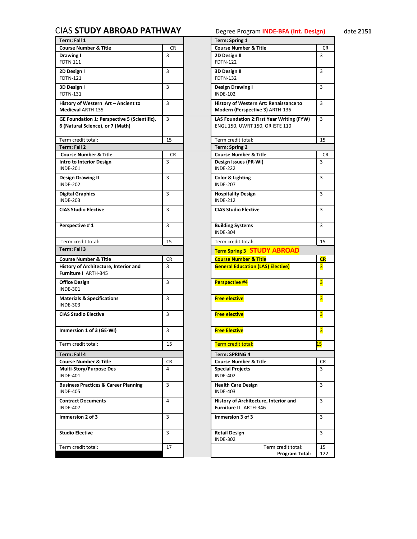## <span id="page-12-0"></span>CIAS **STUDY ABROAD PATHWAY** Degree Program **INDE-BFA (Int. Design)** date **2151**

| Term: Fall 1                                    |           | <b>Term: Spring 1</b>                      |                         |
|-------------------------------------------------|-----------|--------------------------------------------|-------------------------|
| <b>Course Number &amp; Title</b>                | <b>CR</b> | <b>Course Number &amp; Title</b>           | <b>CR</b>               |
| Drawing I                                       | 3         | 2D Design II                               | $\overline{3}$          |
| <b>FDTN 111</b>                                 |           | <b>FDTN-122</b>                            |                         |
| 2D Design I                                     | 3         | 3D Design II                               | 3                       |
| FDTN-121                                        |           | <b>FDTN-132</b>                            |                         |
|                                                 |           |                                            |                         |
| 3D Design I                                     | 3         | Design Drawing I                           | 3                       |
| <b>FDTN-131</b>                                 |           | <b>INDE-102</b>                            |                         |
| History of Western Art - Ancient to             | 3         | History of Western Art: Renaissance to     | 3                       |
| <b>Medieval ARTH 135</b>                        |           | Modern (Perspective 3) ARTH-136            |                         |
| GE Foundation 1: Perspective 5 (Scientific),    | 3         |                                            | 3                       |
| 6 (Natural Science), or 7 (Math)                |           | LAS Foundation 2: First Year Writing (FYW) |                         |
|                                                 |           | ENGL 150, UWRT 150, OR ISTE 110            |                         |
|                                                 |           |                                            |                         |
| Term credit total:                              | 15        | Term credit total:                         | 15                      |
| Term: Fall 2                                    |           | <b>Term: Spring 2</b>                      |                         |
| <b>Course Number &amp; Title</b>                | CR        | <b>Course Number &amp; Title</b>           | CR                      |
| <b>Intro to Interior Design</b>                 | 3         | Design Issues (PR-WI)                      | 3                       |
| <b>INDE-201</b>                                 |           | <b>INDE-222</b>                            |                         |
| <b>Design Drawing II</b>                        | 3         | Color & Lighting                           | 3                       |
| <b>INDE-202</b>                                 |           | <b>INDE-207</b>                            |                         |
|                                                 |           |                                            |                         |
| <b>Digital Graphics</b>                         | 3         | <b>Hospitality Design</b>                  | 3                       |
| <b>INDE-203</b>                                 |           | <b>INDE-212</b>                            |                         |
| <b>CIAS Studio Elective</b>                     | 3         | <b>CIAS Studio Elective</b>                | 3                       |
|                                                 |           |                                            |                         |
| Perspective #1                                  | 3         | <b>Building Systems</b>                    | 3                       |
|                                                 |           | <b>INDE-304</b>                            |                         |
|                                                 |           |                                            |                         |
| Term credit total:                              | 15        | Term credit total:                         | 15                      |
| Term: Fall 3                                    |           | <b>Term Spring 3 STUDY ABROAD</b>          |                         |
| <b>Course Number &amp; Title</b>                | <b>CR</b> | <b>Course Number &amp; Title</b>           | <b>CR</b>               |
| History of Architecture, Interior and           | 3         | <b>General Education (LAS) Elective)</b>   | $\overline{\mathbf{3}}$ |
| Furniture I ARTH-345                            |           |                                            |                         |
|                                                 |           |                                            |                         |
| <b>Office Design</b>                            | 3         | <b>Perspective #4</b>                      | $\overline{\mathbf{3}}$ |
| <b>INDE-301</b>                                 |           |                                            |                         |
| <b>Materials &amp; Specifications</b>           | 3         | <b>Free elective</b>                       | $\overline{\mathbf{3}}$ |
| <b>INDE-303</b>                                 |           |                                            |                         |
| <b>CIAS Studio Elective</b>                     | 3         | <b>Free elective</b>                       | $\overline{\mathbf{3}}$ |
|                                                 |           |                                            |                         |
|                                                 |           |                                            |                         |
| Immersion 1 of 3 (GE-WI)                        | 3         | <b>Free Elective</b>                       | $\overline{\mathbf{3}}$ |
|                                                 |           |                                            |                         |
| Term credit total:                              | 15        | Term credit total:                         | <u>בו</u>               |
| Term: Fall 4                                    |           | Term: SPRING 4                             |                         |
| <b>Course Number &amp; Title</b>                | CR        | <b>Course Number &amp; Title</b>           | CR                      |
| Multi-Story/Purpose Des                         | 4         | <b>Special Projects</b>                    | 3                       |
| <b>INDE-401</b>                                 |           | <b>INDE-402</b>                            |                         |
|                                                 |           |                                            |                         |
| <b>Business Practices &amp; Career Planning</b> | 3         | <b>Health Care Design</b>                  | 3                       |
| <b>INDE-405</b>                                 |           | <b>INDE-403</b>                            |                         |
| <b>Contract Documents</b>                       | 4         | History of Architecture, Interior and      | 3                       |
| <b>INDE-407</b>                                 |           | Furniture II ARTH-346                      |                         |
| Immersion 2 of 3                                | 3         | Immersion 3 of 3                           | 3                       |
|                                                 |           |                                            |                         |
|                                                 |           |                                            |                         |
| <b>Studio Elective</b>                          | 3         | <b>Retail Design</b>                       | 3                       |
|                                                 |           | <b>INDE-302</b>                            |                         |
| Term credit total:                              | 17        | Term credit total:                         | 15                      |
|                                                 |           | Program Total:                             | 122                     |
|                                                 |           |                                            |                         |

|    | <b>Term: Spring 1</b>                                                         |                         |
|----|-------------------------------------------------------------------------------|-------------------------|
| CR | <b>Course Number &amp; Title</b>                                              | CR                      |
| 3  | 2D Design II<br><b>FDTN-122</b>                                               | 3                       |
| 3  | 3D Design II<br><b>FDTN-132</b>                                               | 3                       |
| 3  | <b>Design Drawing I</b><br><b>INDE-102</b>                                    | 3                       |
| 3  | History of Western Art: Renaissance to<br>Modern (Perspective 3) ARTH-136     | 3                       |
| 3  | LAS Foundation 2: First Year Writing (FYW)<br>ENGL 150, UWRT 150, OR ISTE 110 | 3                       |
| 15 | Term credit total:                                                            | 15                      |
|    | <b>Term: Spring 2</b>                                                         |                         |
| CR | <b>Course Number &amp; Title</b>                                              | CR                      |
| 3  | Design Issues (PR-WI)<br><b>INDE-222</b>                                      | 3                       |
| 3  | Color & Lighting<br><b>INDE-207</b>                                           | 3                       |
| 3  | <b>Hospitality Design</b><br><b>INDE-212</b>                                  | 3                       |
| 3  | <b>CIAS Studio Elective</b>                                                   | 3                       |
| 3  | <b>Building Systems</b><br><b>INDE-304</b>                                    | 3                       |
| 15 | Term credit total:                                                            | 15                      |
|    | <b>Term Spring 3 STUDY ABROAD</b>                                             |                         |
| CR | <b>Course Number &amp; Title</b>                                              | <b>CR</b>               |
| 3  | <b>General Education (LAS) Elective)</b>                                      | 3                       |
|    |                                                                               |                         |
| 3  | <b>Perspective #4</b>                                                         | $\overline{\mathbf{3}}$ |
| 3  | <b>Free elective</b>                                                          | 3                       |
| 3  | <b>Free elective</b>                                                          | 3                       |
| 3  | <b>Free Elective</b>                                                          | 3                       |
| 15 | Term credit total:                                                            | <mark>15</mark>         |
|    | <b>Term: SPRING 4</b>                                                         |                         |
| СR | <b>Course Number &amp; Title</b>                                              | CR                      |
| 4  | <b>Special Projects</b><br><b>INDE-402</b>                                    | 3                       |
| 3  | <b>Health Care Design</b><br><b>INDE-403</b>                                  | 3                       |
| 4  | History of Architecture, Interior and<br>Furniture II ARTH-346                | 3                       |
| 3  | Immersion 3 of 3                                                              | 3                       |
| 3  | <b>Retail Design</b><br><b>INDE-302</b>                                       | 3                       |
|    |                                                                               |                         |
| 17 | Term credit total:<br>Program Total:                                          | 15<br>122               |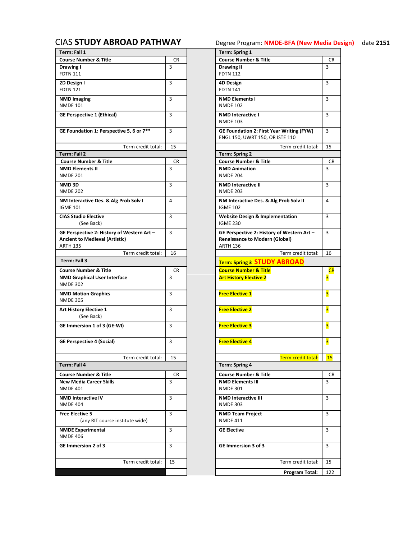| Term: Fall 1                                  |           | <b>Term: Spring 1</b>                            |                         |
|-----------------------------------------------|-----------|--------------------------------------------------|-------------------------|
| <b>Course Number &amp; Title</b>              | CR        | <b>Course Number &amp; Title</b>                 | CR                      |
| Drawing I                                     | 3         | <b>Drawing II</b>                                | 3                       |
| <b>FDTN 111</b>                               |           | <b>FDTN 112</b>                                  |                         |
| 2D Design I                                   | 3         | 4D Design                                        | 3                       |
| <b>FDTN 121</b>                               |           | <b>FDTN 141</b>                                  |                         |
| <b>NMD Imaging</b>                            | 3         | <b>NMD Elements I</b>                            | 3                       |
| <b>NMDE 101</b>                               |           | <b>NMDE 102</b>                                  |                         |
| <b>GE Perspective 1 (Ethical)</b>             | 3         | <b>NMD Interactive I</b>                         | 3                       |
|                                               |           | <b>NMDE 103</b>                                  |                         |
| GE Foundation 1: Perspective 5, 6 or 7**      | 3         | <b>GE Foundation 2: First Year Writing (FYW)</b> | $\overline{3}$          |
|                                               |           | ENGL 150, UWRT 150, OR ISTE 110                  |                         |
| Term credit total:                            | 15        | Term credit total:                               | 15                      |
| Term: Fall 2                                  |           | <b>Term: Spring 2</b>                            |                         |
| <b>Course Number &amp; Title</b>              | <b>CR</b> | <b>Course Number &amp; Title</b>                 | CR                      |
| <b>NMD Elements II</b>                        | 3         | <b>NMD Animation</b>                             | 3                       |
| <b>NMDE 201</b>                               |           | <b>NMDE 204</b>                                  |                         |
| NMD <sub>3D</sub>                             | 3         | <b>NMD Interactive II</b>                        | 3                       |
| <b>NMDE 202</b>                               |           | <b>NMDE 203</b>                                  |                         |
|                                               |           |                                                  |                         |
| NM Interactive Des. & Alg Prob Solv I         | 4         | NM Interactive Des. & Alg Prob Solv II           | 4                       |
| <b>IGME 101</b>                               |           | <b>IGME 102</b>                                  |                         |
| <b>CIAS Studio Elective</b>                   | 3         | <b>Website Design &amp; Implementation</b>       | 3                       |
| (See Back)                                    |           | <b>IGME 230</b>                                  |                         |
| GE Perspective 2: History of Western Art -    | 3         | GE Perspective 2: History of Western Art -       | 3                       |
| <b>Ancient to Medieval (Artistic)</b>         |           | <b>Renaissance to Modern (Global)</b>            |                         |
| <b>ARTH 135</b>                               |           | <b>ARTH 136</b>                                  |                         |
| Term credit total:                            | 16        | Term credit total:                               | 16                      |
| Term: Fall 3                                  |           | <b>Term: Spring 3 STUDY ABROAD</b>               |                         |
|                                               |           |                                                  |                         |
| <b>Course Number &amp; Title</b>              | CR        | <b>Course Number &amp; Title</b>                 |                         |
| <b>NMD Graphical User Interface</b>           | 3         | <b>Art History Elective 2</b>                    | CR                      |
| <b>NMDE 302</b>                               |           |                                                  | 3                       |
|                                               |           |                                                  |                         |
| <b>NMD Motion Graphics</b><br><b>NMDE 305</b> | 3         | <b>Free Elective 1</b>                           | $\overline{\mathbf{3}}$ |
|                                               |           |                                                  |                         |
| <b>Art History Elective 1</b>                 | 3         | <b>Free Elective 2</b>                           | 3                       |
| (See Back)                                    |           |                                                  |                         |
| GE Immersion 1 of 3 (GE-WI)                   | 3         | <b>Free Elective 3</b>                           | $\overline{\mathbf{3}}$ |
|                                               |           |                                                  |                         |
| <b>GE Perspective 4 (Social)</b>              | 3         | <b>Free Elective 4</b>                           | 3                       |
|                                               |           |                                                  |                         |
| Term credit total:                            | 15        | Term credit total:                               | <b>15</b>               |
| Term: Fall 4                                  |           | Term: Spring 4                                   |                         |
| <b>Course Number &amp; Title</b>              | CR.       | <b>Course Number &amp; Title</b>                 | <b>CR</b>               |
| <b>New Media Career Skills</b>                | 3         | <b>NMD Elements III</b>                          | 3                       |
| <b>NMDE 401</b>                               |           | <b>NMDE 301</b>                                  |                         |
|                                               |           |                                                  | 3                       |
| <b>NMD Interactive IV</b><br><b>NMDE 404</b>  | 3         | <b>NMD Interactive III</b><br><b>NMDE 303</b>    |                         |
|                                               |           |                                                  |                         |
| <b>Free Elective 5</b>                        | 3         | <b>NMD Team Project</b>                          | 3                       |
| (any RIT course institute wide)               |           | <b>NMDE 411</b>                                  |                         |
| <b>NMDE Experimental</b>                      | 3         | <b>GE Elective</b>                               | 3                       |
| <b>NMDE 406</b>                               |           |                                                  |                         |
| GE Immersion 2 of 3                           | 3         | GE Immersion 3 of 3                              | 3                       |
|                                               |           |                                                  |                         |
| Term credit total:                            | 15        | Term credit total:                               | 15                      |
|                                               |           | Program Total:                                   | 122                     |

<span id="page-13-0"></span>CIAS **[STUDY ABROAD PATHWAY](#page-0-0)** Degree Program: **NMDE-BFA (New Media Design)** date **2151**

|                            |    | Term: Spring 1                                            |           |
|----------------------------|----|-----------------------------------------------------------|-----------|
|                            | CR | <b>Course Number &amp; Title</b>                          | CR        |
|                            | 3  | <b>Drawing II</b>                                         | 3         |
|                            |    | <b>FDTN 112</b>                                           |           |
|                            | 3  | <b>4D Design</b>                                          | 3         |
|                            |    | <b>FDTN 141</b>                                           |           |
|                            | 3  | <b>NMD Elements I</b>                                     | 3         |
|                            |    | <b>NMDE 102</b>                                           |           |
|                            | 3  | <b>NMD Interactive I</b>                                  | 3         |
|                            |    | <b>NMDE 103</b>                                           |           |
| $\overline{e}$ 5, 6 or 7** | 3  | GE Foundation 2: First Year Writing (FYW)                 | 3         |
|                            |    | ENGL 150, UWRT 150, OR ISTE 110                           |           |
| Term credit total:         | 15 | Term credit total:                                        | 15        |
|                            |    |                                                           |           |
|                            | CR | <b>Term: Spring 2</b><br><b>Course Number &amp; Title</b> | CR        |
|                            | 3  | <b>NMD Animation</b>                                      | 3         |
|                            |    | <b>NMDE 204</b>                                           |           |
|                            |    |                                                           |           |
|                            | 3  | <b>NMD Interactive II</b><br><b>NMDE 203</b>              | 3         |
|                            |    |                                                           |           |
| ob Solv I                  | 4  | NM Interactive Des. & Alg Prob Solv II                    | 4         |
|                            |    | <b>IGME 102</b>                                           |           |
|                            | 3  | <b>Website Design &amp; Implementation</b>                | 3         |
|                            |    | <b>IGME 230</b>                                           |           |
| Western Art –              | 3  | GE Perspective 2: History of Western Art -                | 3         |
| :)                         |    | <b>Renaissance to Modern (Global)</b>                     |           |
|                            |    | <b>ARTH 136</b>                                           |           |
| Term credit total:         | 16 | Term credit total:                                        | 16        |
|                            |    | <b>Term: Spring 3 STUDY ABROAD</b>                        |           |
|                            | CR | <b>Course Number &amp; Title</b>                          | CR        |
| cе                         | 3  | <b>Art History Elective 2</b>                             | 3         |
|                            |    |                                                           |           |
|                            | 3  | <b>Free Elective 1</b>                                    | 3         |
|                            |    |                                                           |           |
|                            |    |                                                           |           |
|                            | 3  | <b>Free Elective 2</b>                                    | 3         |
|                            |    |                                                           |           |
|                            | 3  | <b>Free Elective 3</b>                                    | 3         |
|                            |    |                                                           |           |
|                            | 3  | <b>Free Elective 4</b>                                    | 3         |
|                            |    |                                                           |           |
| Term credit total:         | 15 | Term credit total:                                        | <b>15</b> |
|                            |    | <b>Term: Spring 4</b>                                     |           |
|                            |    | <b>Course Number &amp; Title</b>                          |           |
|                            | CR |                                                           | CR        |
|                            | 3  | <b>NMD Elements III</b><br><b>NMDE 301</b>                | 3         |
|                            |    |                                                           |           |
|                            | 3  | <b>NMD Interactive III</b>                                | 3         |
|                            |    | <b>NMDE 303</b>                                           |           |
|                            | 3  | <b>NMD Team Project</b>                                   | 3         |
| itute wide)                |    | <b>NMDE 411</b>                                           |           |
|                            | 3  | <b>GE Elective</b>                                        | 3         |
|                            |    |                                                           |           |
|                            |    |                                                           |           |
|                            | 3  | GE Immersion 3 of 3                                       | 3         |
|                            |    |                                                           |           |
| Term credit total:         | 15 | Term credit total:                                        | 15        |
|                            |    |                                                           |           |
|                            |    | Program Total:                                            | 122       |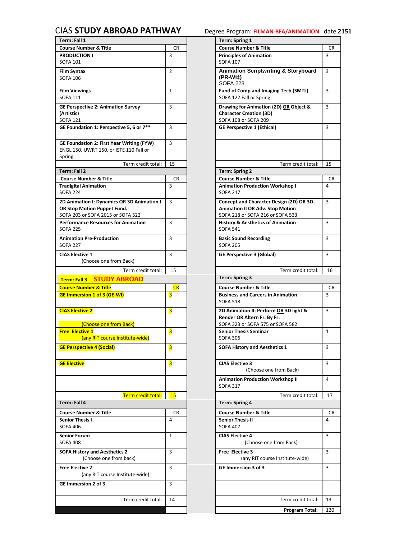## <span id="page-14-0"></span>CIAS **[STUDY ABROAD PATHWAY](#page-0-0)** Degree Program: **FILMAN-BFA/ANIMATION** date **2151**

| Term: Fall 1                                     |                | <b>Term: Spring 1</b>                                             |
|--------------------------------------------------|----------------|-------------------------------------------------------------------|
| <b>Course Number &amp; Title</b>                 | <b>CR</b>      | <b>Course Number &amp; Title</b><br>CR                            |
| <b>PRODUCTION I</b>                              | 3              | $\overline{3}$<br><b>Principles of Animation</b>                  |
| <b>SOFA 101</b>                                  |                | <b>SOFA 107</b>                                                   |
| Film Syntax                                      | $\overline{2}$ | <b>Animation Scriptwriting &amp; Storyboard</b><br>$\overline{3}$ |
| <b>SOFA 106</b>                                  |                | (PR-WI‡)                                                          |
|                                                  | $\mathbf{1}$   | <b>SOFA 228</b><br>Fund of Comp and Imaging Tech (SMTL)<br>3      |
| <b>Film Viewings</b><br><b>SOFA 111</b>          |                | SOFA 122 Fall or Spring                                           |
|                                                  |                |                                                                   |
| <b>GE Perspective 2: Animation Survey</b>        | 3              | 3<br>Drawing for Animation (2D) OR Object &                       |
| (Artistic)<br><b>SOFA 121</b>                    |                | <b>Character Creation (3D)</b><br>SOFA 108 or SOFA 209            |
| GE Foundation 1: Perspective 5, 6 or 7**         | 3              | 3<br><b>GE Perspective 1 (Ethical)</b>                            |
|                                                  |                |                                                                   |
| <b>GE Foundation 2: First Year Writing (FYW)</b> | 3              |                                                                   |
| ENGL 150, UWRT 150, or ISTE 110 Fall or          |                |                                                                   |
| Spring                                           |                |                                                                   |
| Term credit total:                               | 15             | Term credit total:<br>15                                          |
| <b>Term: Fall 2</b>                              |                | Term: Spring 2                                                    |
| <b>Course Number &amp; Title</b>                 | CR.            | <b>Course Number &amp; Title</b><br>CR                            |
| <b>Tradigital Animation</b>                      | 3              | <b>Animation Production Workshop I</b><br>4                       |
| <b>SOFA 224</b>                                  |                | <b>SOFA 217</b>                                                   |
| 2D Animation I: Dynamics OR 3D Animation I       | 3              | 3<br>Concept and Character Design (2D) OR 3D                      |
| OR Stop Motion Puppet Fund.                      |                | <b>Animation II OR Adv. Stop Motion</b>                           |
| SOFA 203 or SOFA 2015 or SOFA 522                |                | SOFA 218 or SOFA 216 or SOFA 533                                  |
| <b>Performance Resources for Animation</b>       | 3              | 3<br><b>History &amp; Aesthetics of Animation</b>                 |
| <b>SOFA 225</b>                                  |                | <b>SOFA 541</b>                                                   |
| <b>Animation Pre-Production</b>                  | 3              | <b>Basic Sound Recording</b><br>3                                 |
| <b>SOFA 227</b>                                  |                | <b>SOFA 205</b>                                                   |
| <b>CIAS Elective 1</b>                           | 3              | 3<br><b>GE Perspective 3 (Global)</b>                             |
| (Choose one from Back)                           |                |                                                                   |
| Term credit total:                               | 15             | Term credit total:<br>16                                          |
| Term: Fall 3 STUDY ABROAD                        |                | Term: Spring 3                                                    |
| <b>Course Number &amp; Title</b>                 | <b>CR</b>      | <b>Course Number &amp; Title</b><br><b>CR</b>                     |
| <b>GE Immersion 1 of 3 (GE-WI)</b>               | 3              | <b>Business and Careers in Animation</b><br>$\overline{3}$        |
|                                                  |                | <b>SOFA 518</b>                                                   |
| <b>CIAS Elective 2</b>                           | 3              | 3<br>2D Animation II: Perform OR 3D light &                       |
|                                                  |                | Render OR Altern Fr. By Fr.                                       |
| (Choose one from Back)                           |                | SOFA 323 or SOFA 575 or SOFA 582                                  |
| <b>Free Elective 1</b>                           | 3              | <b>Senior Thesis Seminar</b><br>$\mathbf{1}$                      |
| (any RIT course Institute-wide)                  |                | <b>SOFA 306</b>                                                   |
| <b>GE Perspective 4 (Social)</b>                 | 3              | <b>SOFA History and Aesthetics 1</b><br>3                         |
|                                                  |                |                                                                   |
| <b>GE Elective</b>                               | 3              | <b>CIAS Elective 3</b><br>3                                       |
|                                                  |                | (Choose one from Back)                                            |
|                                                  |                | <b>Animation Production Workshop II</b><br>4                      |
|                                                  |                | <b>SOFA 317</b>                                                   |
| Term credit total:                               | <b>15</b>      | Term credit total:<br>17                                          |
| Term: Fall 4                                     |                | <b>Term: Spring 4</b>                                             |
| <b>Course Number &amp; Title</b>                 | CR             | <b>Course Number &amp; Title</b><br>CR                            |
| <b>Senior Thesis I</b>                           | 4              | <b>Senior Thesis II</b><br>4                                      |
| <b>SOFA 406</b>                                  |                | <b>SOFA 407</b>                                                   |
|                                                  |                |                                                                   |
|                                                  |                |                                                                   |
| <b>Senior Forum</b><br><b>SOFA 408</b>           | $\mathbf{1}$   | <b>CIAS Elective 4</b><br>3                                       |
|                                                  |                | (Choose one from Back)                                            |
| <b>SOFA History and Aesthetics 2</b>             | 3              | <b>Free Elective 3</b><br>3                                       |
| (Choose one from back)                           |                | (any RIT course Institute-wide)                                   |
| <b>Free Elective 2</b>                           | 3              | <b>GE Immersion 3 of 3</b><br>3                                   |
| (any RIT course Institute-wide)                  |                |                                                                   |
| <b>GE Immersion 2 of 3</b>                       | 3              |                                                                   |
|                                                  |                |                                                                   |
| Term credit total:                               | 14             | Term credit total:<br>13                                          |

|                                                 |             | <b>Term: Spring 1</b>                                                                                                  |              |
|-------------------------------------------------|-------------|------------------------------------------------------------------------------------------------------------------------|--------------|
|                                                 | CR          | <b>Course Number &amp; Title</b>                                                                                       | CR           |
|                                                 | 3           | <b>Principles of Animation</b><br><b>SOFA 107</b>                                                                      | 3            |
|                                                 | 2           | <b>Animation Scriptwriting &amp; Storyboard</b><br>(PR-WI‡)<br><b>SOFA 228</b>                                         | 3            |
|                                                 | $\mathbf 1$ | Fund of Comp and Imaging Tech (SMTL)<br>SOFA 122 Fall or Spring                                                        | 3            |
| Survey                                          | 3           | Drawing for Animation (2D) OR Object &<br><b>Character Creation (3D)</b><br>SOFA 108 or SOFA 209                       | 3            |
| e 5, 6 or 7**                                   | 3           | <b>GE Perspective 1 (Ethical)</b>                                                                                      | 3            |
| <b>Nriting (FYW)</b><br>E 110 Fall or           | 3           |                                                                                                                        |              |
| Term credit total:                              | 15          | Term credit total:                                                                                                     | 15           |
|                                                 |             | <b>Term: Spring 2</b>                                                                                                  |              |
|                                                 | CR          | <b>Course Number &amp; Title</b>                                                                                       | CR           |
|                                                 | 3           | <b>Animation Production Workshop I</b><br><b>SOFA 217</b>                                                              | 4            |
| <b>R 3D Animation I</b><br>d.<br><b>JFA 522</b> | 3           | Concept and Character Design (2D) OR 3D<br><b>Animation II OR Adv. Stop Motion</b><br>SOFA 218 or SOFA 216 or SOFA 533 | 3            |
| <b>Animation</b>                                | 3           | <b>History &amp; Aesthetics of Animation</b><br><b>SOFA 541</b>                                                        | 3            |
|                                                 | 3           | <b>Basic Sound Recording</b><br><b>SOFA 205</b>                                                                        | 3            |
| Back)                                           | 3           | <b>GE Perspective 3 (Global)</b>                                                                                       | 3            |
| Term credit total:                              | 15          | Term credit total:                                                                                                     | 16           |
| <b>ROAD</b>                                     |             | Term: Spring 3                                                                                                         |              |
|                                                 | CR          | <b>Course Number &amp; Title</b>                                                                                       | CR           |
|                                                 | 3           | <b>Business and Careers in Animation</b><br><b>SOFA 518</b>                                                            | 3            |
| Back)                                           | 3           | 2D Animation II: Perform OR 3D light &<br>Render OR Altern Fr. By Fr.<br>SOFA 323 or SOFA 575 or SOFA 582              | 3            |
| titute-wide)                                    | 3           | <b>Senior Thesis Seminar</b><br><b>SOFA 306</b>                                                                        | $\mathbf{1}$ |
|                                                 | 3           | <b>SOFA History and Aesthetics 1</b>                                                                                   | 3            |
|                                                 | 3           | <b>CIAS Elective 3</b><br>(Choose one from Back)                                                                       | 3            |
|                                                 |             | <b>Animation Production Workshop II</b><br><b>SOFA 317</b>                                                             | 4            |
| Term credit total:                              | 15          | Term credit total:                                                                                                     | 17           |
|                                                 |             | <b>Term: Spring 4</b>                                                                                                  |              |
|                                                 | CR          | <b>Course Number &amp; Title</b>                                                                                       | CR           |
|                                                 | 4           | <b>Senior Thesis II</b><br><b>SOFA 407</b>                                                                             | 4            |
|                                                 | 1           | <b>CIAS Elective 4</b><br>(Choose one from Back)                                                                       | 3            |
| $\overline{2}$<br>back)                         | 3           | Free Elective 3<br>(any RIT course Institute-wide)                                                                     | 3            |
| titute-wide)                                    | 3           | GE Immersion 3 of 3                                                                                                    | 3            |
|                                                 | 3           |                                                                                                                        |              |
|                                                 |             |                                                                                                                        |              |
| Term credit total:                              | 14          | Term credit total:                                                                                                     | 13           |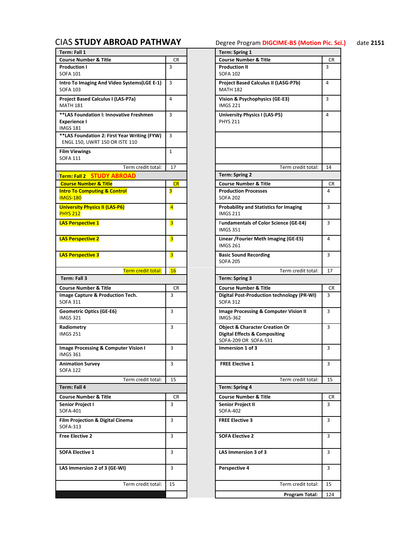# <span id="page-15-0"></span>CIAS **[STUDY ABROAD PATHWAY](#page-0-0)** Degree Program **DIGCIME-BS (Motion Pic. Sci.)** date **2151**

| Term: Fall 1                                                                      |                         | <b>Term: Spring 1</b>                                                                                         |                 |
|-----------------------------------------------------------------------------------|-------------------------|---------------------------------------------------------------------------------------------------------------|-----------------|
| <b>Course Number &amp; Title</b>                                                  | <b>CR</b>               | <b>Course Number &amp; Title</b>                                                                              | CR              |
| <b>Production I</b>                                                               | 3                       | <b>Production II</b>                                                                                          | 3               |
| <b>SOFA 101</b>                                                                   |                         | <b>SOFA 102</b>                                                                                               |                 |
| Intro To Imaging And Video Systems (LGE E-1)<br><b>SOFA 103</b>                   | 3                       | Project Based Calculus II (LASG-P7b)<br><b>MATH 182</b>                                                       | 4               |
| Project Based Calculus I (LAS-P7a)<br><b>MATH 181</b>                             | 4                       | Vision & Psychophysics (GE-E3)<br><b>IMGS 221</b>                                                             | 3               |
| **LAS Foundation I: Innovative Freshmen<br><b>Experience I</b><br><b>IMGS 181</b> | 3                       | University Physics I (LAS-P5)<br><b>PHYS 211</b>                                                              | 4               |
| **LAS Foundation 2: First Year Writing (FYW)<br>ENGL 150, UWRT 150 OR ISTE 110    | 3                       |                                                                                                               |                 |
| <b>Film Viewings</b><br><b>SOFA 111</b>                                           | $\mathbf{1}$            |                                                                                                               |                 |
| Term credit total:                                                                | 17                      | Term credit total:                                                                                            | 14              |
| Term: Fall 2 STUDY ABROAD                                                         |                         | <b>Term: Spring 2</b>                                                                                         |                 |
| <b>Course Number &amp; Title</b>                                                  | <b>CR</b>               | <b>Course Number &amp; Title</b>                                                                              | CR              |
| <b>Intro To Computing &amp; Control</b>                                           | 3                       | <b>Production Processes</b>                                                                                   | 4               |
| <b>IMGS-180</b>                                                                   |                         | <b>SOFA 202</b>                                                                                               |                 |
| <b>University Physics II (LAS-P6)</b><br><b>PHYS 212</b>                          | $\overline{4}$          | <b>Probability and Statistics for Imaging</b><br><b>IMGS 211</b>                                              | 3               |
| <b>LAS Perspective 1</b>                                                          | $\overline{\mathbf{3}}$ | <b>Fundamentals of Color Science (GE-E4)</b><br><b>IMGS 351</b>                                               | $\overline{3}$  |
| <b>LAS Perspective 2</b>                                                          | $\overline{\mathbf{3}}$ | Linear / Fourier Meth Imaging (GE-E5)<br><b>IMGS 261</b>                                                      | 4               |
| <b>LAS Perspective 3</b>                                                          | $\overline{\mathbf{3}}$ | <b>Basic Sound Recording</b><br><b>SOFA 205</b>                                                               | 3               |
| Term credit total:                                                                | <b>16</b>               | Term credit total:                                                                                            | 17              |
|                                                                                   |                         |                                                                                                               |                 |
| Term: Fall 3                                                                      |                         | Term: Spring 3                                                                                                |                 |
| <b>Course Number &amp; Title</b>                                                  | <b>CR</b>               | <b>Course Number &amp; Title</b>                                                                              | CR              |
| Image Capture & Production Tech.<br><b>SOFA 311</b>                               | 3                       | Digital Post-Production technology (PR-WI)<br><b>SOFA 312</b>                                                 | 3               |
| <b>Geometric Optics (GE-E6)</b><br><b>IMGS 321</b>                                | 3                       | Image Processing & Computer Vision II<br><b>IMGS-362</b>                                                      | 3               |
| Radiometry<br><b>IMGS 251</b>                                                     | 3                       | <b>Object &amp; Character Creation Or</b><br><b>Digital Effects &amp; Compositing</b><br>SOFA-209 OR SOFA-531 | 3               |
| Image Processing & Computer Vision I<br>IMGS 361                                  | 3                       | Immersion 1 of 3                                                                                              | 3               |
| <b>Animation Survey</b><br><b>SOFA 122</b>                                        | 3                       | <b>FREE Elective 1</b>                                                                                        | $\overline{3}$  |
| Term credit total:                                                                | 15                      | Term credit total:                                                                                            |                 |
| Term: Fall 4                                                                      |                         | <b>Term: Spring 4</b>                                                                                         |                 |
| <b>Course Number &amp; Title</b>                                                  | CR                      | <b>Course Number &amp; Title</b>                                                                              |                 |
| Senior Project I                                                                  | 3                       | <b>Senior Project II</b>                                                                                      | 3               |
| SOFA-401                                                                          |                         | <b>SOFA-402</b>                                                                                               | 15<br><b>CR</b> |
| <b>Film Projection &amp; Digital Cinema</b><br>SOFA-313                           | 3                       | <b>FREE Elective 3</b>                                                                                        | 3               |
| <b>Free Elective 2</b>                                                            | 3                       | <b>SOFA Elective 2</b>                                                                                        | 3               |
| <b>SOFA Elective 1</b>                                                            | 3                       | LAS Immersion 3 of 3                                                                                          | 3               |
| LAS Immersion 2 of 3 (GE-WI)                                                      | 3                       | Perspective 4                                                                                                 | 3               |
| Term credit total:                                                                | 15                      | Term credit total:                                                                                            | 15              |
|                                                                                   |                         | Program Total:                                                                                                | 124             |

|                            |                | <b>Term: Spring 1</b>                                                                                         |                                                   |           |
|----------------------------|----------------|---------------------------------------------------------------------------------------------------------------|---------------------------------------------------|-----------|
|                            | CR             | <b>Course Number &amp; Title</b>                                                                              |                                                   | <b>CR</b> |
|                            | 3              | <b>Production II</b><br><b>SOFA 102</b>                                                                       |                                                   | 3         |
| Systems(LGE E-1)           | 3              | Project Based Calculus II (LASG-P7b)<br><b>MATH 182</b>                                                       |                                                   | 4         |
| -P7a)                      | 4              | Vision & Psychophysics (GE-E3)<br><b>IMGS 221</b>                                                             |                                                   | 3         |
| ive Freshmen               | 3              | University Physics I (LAS-P5)<br><b>PHYS 211</b>                                                              |                                                   | 4         |
| ar Writing (FYW)<br>TE 110 | 3              |                                                                                                               |                                                   |           |
|                            | $\mathbf{1}$   |                                                                                                               |                                                   |           |
| Term credit total:         | 17             |                                                                                                               | Term credit total:                                | 14        |
| <b>OAD</b>                 |                | <b>Term: Spring 2</b>                                                                                         |                                                   |           |
|                            | CR             | <b>Course Number &amp; Title</b>                                                                              |                                                   | CR        |
| оI                         | 3              | <b>Production Processes</b><br><b>SOFA 202</b>                                                                |                                                   | 4         |
|                            | $\overline{4}$ | <b>Probability and Statistics for Imaging</b><br><b>IMGS 211</b>                                              |                                                   | 3         |
|                            | 3              | <b>Fundamentals of Color Science (GE-E4)</b><br><b>IMGS 351</b>                                               |                                                   | 3         |
|                            | 3              | Linear / Fourier Meth Imaging (GE-E5)<br><b>IMGS 261</b>                                                      |                                                   | 4         |
|                            | 3              | <b>Basic Sound Recording</b><br><b>SOFA 205</b>                                                               |                                                   | 3         |
| Term credit total:         | <b>16</b>      |                                                                                                               | Term credit total:                                | 17        |
|                            |                | Term: Spring 3                                                                                                |                                                   |           |
|                            | CR             | <b>Course Number &amp; Title</b>                                                                              |                                                   | CR        |
| Tech.                      | 3              | <b>SOFA 312</b>                                                                                               | <b>Digital Post-Production technology (PR-WI)</b> | 3         |
|                            | 3              | Image Processing & Computer Vision II<br><b>IMGS-362</b>                                                      |                                                   | 3         |
|                            | 3              | <b>Object &amp; Character Creation Or</b><br><b>Digital Effects &amp; Compositing</b><br>SOFA-209 OR SOFA-531 |                                                   | 3         |
| er Vision I                | 3              | Immersion 1 of 3                                                                                              |                                                   | 3         |
|                            | 3              | <b>FREE Elective 1</b>                                                                                        |                                                   | 3         |
| Term credit total:         | 15             |                                                                                                               | Term credit total:                                | 15        |
|                            |                | <b>Term: Spring 4</b>                                                                                         |                                                   |           |
|                            | CR             | <b>Course Number &amp; Title</b>                                                                              |                                                   | CR        |
|                            | 3              | <b>Senior Project II</b>                                                                                      |                                                   | 3         |
|                            |                | <b>SOFA-402</b>                                                                                               |                                                   |           |
| ema                        | 3              | <b>FREE Elective 3</b>                                                                                        |                                                   | 3         |
|                            | 3              | <b>SOFA Elective 2</b>                                                                                        |                                                   | 3         |
|                            | 3              | LAS Immersion 3 of 3                                                                                          |                                                   | 3         |
| I)                         | 3              | Perspective 4                                                                                                 |                                                   | 3         |
| Term credit total:         | 15             |                                                                                                               | Term credit total:                                | 15        |
|                            |                |                                                                                                               | Program Total:                                    | 124       |
|                            |                |                                                                                                               |                                                   |           |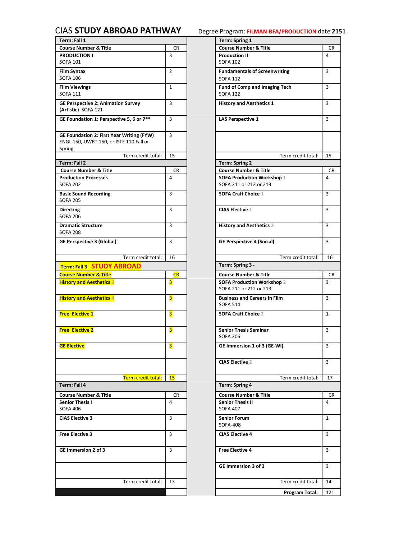## <span id="page-16-0"></span>CIAS **[STUDY ABROAD PATHWAY](#page-0-0)** Degree Program: **FILMAN-BFA/PRODUCTION** date **2151**

| Term: Fall 1                                                                                          |                | Term: Spring 1                                              |                      |
|-------------------------------------------------------------------------------------------------------|----------------|-------------------------------------------------------------|----------------------|
| <b>Course Number &amp; Title</b>                                                                      | <b>CR</b>      | <b>Course Number &amp; Title</b>                            | CR                   |
| <b>PRODUCTION I</b><br><b>SOFA 101</b>                                                                | 3              | <b>Production II</b><br><b>SOFA 102</b>                     | $\overline{4}$       |
| Film Syntax                                                                                           | $\overline{2}$ | <b>Fundamentals of Screenwriting</b>                        | 3                    |
| <b>SOFA 106</b>                                                                                       |                | <b>SOFA 112</b>                                             |                      |
| <b>Film Viewings</b><br><b>SOFA 111</b>                                                               | $\mathbf{1}$   | <b>Fund of Comp and Imaging Tech</b><br><b>SOFA 122</b>     | 3                    |
| <b>GE Perspective 2: Animation Survey</b><br>(Artistic) SOFA 121                                      | 3              | <b>History and Aesthetics 1</b>                             | 3                    |
| GE Foundation 1: Perspective 5, 6 or 7**                                                              | 3              | <b>LAS Perspective 1</b>                                    | 3                    |
| <b>GE Foundation 2: First Year Writing (FYW)</b><br>ENGL 150, UWRT 150, or ISTE 110 Fall or<br>Spring | 3              |                                                             |                      |
| Term credit total:                                                                                    | 15             | Term credit total:                                          | 15                   |
| Term: Fall 2                                                                                          |                | <b>Term: Spring 2</b>                                       |                      |
| <b>Course Number &amp; Title</b>                                                                      | <b>CR</b>      | <b>Course Number &amp; Title</b>                            | <b>CR</b>            |
| <b>Production Processes</b><br><b>SOFA 202</b>                                                        | 4              | <b>SOFA Production Workshop 1</b><br>SOFA 211 or 212 or 213 | 4                    |
| <b>Basic Sound Recording</b><br><b>SOFA 205</b>                                                       | 3              | <b>SOFA Craft Choice 1</b>                                  | 3                    |
| <b>Directing</b><br><b>SOFA 206</b>                                                                   | 3              | <b>CIAS Elective 1</b>                                      | 3                    |
| <b>Dramatic Structure</b><br><b>SOFA 208</b>                                                          | 3              | <b>History and Aesthetics 2</b>                             | 3                    |
| <b>GE Perspective 3 (Global)</b>                                                                      | 3              | <b>GE Perspective 4 (Social)</b>                            | $\overline{3}$       |
| Term credit total:                                                                                    | 16             | Term credit total:                                          | 16                   |
| Term: Fall 3 STUDY ABROAD                                                                             |                | Term: Spring 3 -                                            |                      |
| <b>Course Number &amp; Title</b>                                                                      | CR             | <b>Course Number &amp; Title</b>                            |                      |
| <b>History and Aesthetics 3</b>                                                                       | 3              | SOFA Production Workshop 2                                  | CR<br>$\overline{3}$ |
|                                                                                                       |                | SOFA 211 or 212 or 213                                      |                      |
| <b>History and Aesthetics 4</b>                                                                       | 3              | <b>Business and Careers in Film</b><br><b>SOFA 514</b>      | 3                    |
| <b>Free Elective 1</b>                                                                                | 3              | <b>SOFA Craft Choice 2</b>                                  | $\mathbf{1}$         |
| <b>Free Elective 2</b>                                                                                | 3              | <b>Senior Thesis Seminar</b><br><b>SOFA 306</b>             | 3                    |
| <b>GE Elective</b>                                                                                    | 3              | GE Immersion 1 of 3 (GE-WI)                                 | 3                    |
|                                                                                                       |                | <b>CIAS Elective 2</b>                                      | 3                    |
| Term credit total:                                                                                    | 15             | Term credit total:                                          | 17                   |
| Term: Fall 4                                                                                          |                | <b>Term: Spring 4</b>                                       |                      |
|                                                                                                       |                |                                                             |                      |
| <b>Course Number &amp; Title</b>                                                                      | CR.            | <b>Course Number &amp; Title</b>                            | <b>CR</b>            |
| <b>Senior Thesis I</b><br><b>SOFA 406</b>                                                             | 4              | <b>Senior Thesis II</b><br><b>SOFA 407</b>                  | $\overline{a}$       |
| <b>CIAS Elective 3</b>                                                                                | 3              | <b>Senior Forum</b><br><b>SOFA-408</b>                      | $\mathbf{1}$         |
| <b>Free Elective 3</b>                                                                                | 3              | <b>CIAS Elective 4</b>                                      | 3                    |
| GE Immersion 2 of 3                                                                                   | 3              | <b>Free Elective 4</b>                                      | 3                    |
|                                                                                                       |                | GE Immersion 3 of 3                                         | 3                    |
| Term credit total:                                                                                    | 13             | Term credit total:                                          | 14                   |
|                                                                                                       |                | <b>Program Total:</b>                                       | 121                  |

|                                         |                | Term: Spring 1                                              |              |
|-----------------------------------------|----------------|-------------------------------------------------------------|--------------|
|                                         | CR             | <b>Course Number &amp; Title</b>                            | CR           |
|                                         | 3              | <b>Production II</b><br><b>SOFA 102</b>                     | 4            |
|                                         | $\overline{2}$ | <b>Fundamentals of Screenwriting</b><br><b>SOFA 112</b>     | 3            |
|                                         | 1              | <b>Fund of Comp and Imaging Tech</b><br><b>SOFA 122</b>     | 3            |
| Survey                                  | 3              | <b>History and Aesthetics 1</b>                             | 3            |
| e 5, 6 or 7**                           | 3              | <b>LAS Perspective 1</b>                                    | 3            |
| <b>Nriting (FYW)</b><br>$E$ 110 Fall or | 3              |                                                             |              |
| Term credit total:                      | 15             | Term credit total:                                          | 15           |
|                                         |                | <b>Term: Spring 2</b>                                       |              |
|                                         | CR             | <b>Course Number &amp; Title</b>                            | CR           |
|                                         | 4              | <b>SOFA Production Workshop 1</b><br>SOFA 211 or 212 or 213 | 4            |
|                                         | 3              | <b>SOFA Craft Choice 1</b>                                  | 3            |
|                                         | 3              | <b>CIAS Elective 1</b>                                      | 3            |
|                                         | 3              | <b>History and Aesthetics 2</b>                             | 3            |
|                                         | 3              | <b>GE Perspective 4 (Social)</b>                            | 3            |
| Term credit total:                      | 16             | Term credit total:                                          | 16           |
|                                         |                | Term: Spring 3 -                                            |              |
| <b>ROAD</b>                             |                |                                                             |              |
|                                         | <b>CR</b>      | <b>Course Number &amp; Title</b>                            | CR           |
|                                         | 3              | SOFA Production Workshop 2<br>SOFA 211 or 212 or 213        | 3            |
|                                         | 3              | <b>Business and Careers in Film</b><br><b>SOFA 514</b>      | 3            |
|                                         | 3              | <b>SOFA Craft Choice 2</b>                                  | $\mathbf{1}$ |
|                                         | 3              | <b>Senior Thesis Seminar</b><br><b>SOFA 306</b>             | 3            |
|                                         | 3              | GE Immersion 1 of 3 (GE-WI)                                 | 3            |
|                                         |                | <b>CIAS Elective 2</b>                                      | 3            |
| Term credit total:                      | 15             | Term credit total:                                          | 17           |
|                                         |                | <b>Term: Spring 4</b>                                       |              |
|                                         | CR             | <b>Course Number &amp; Title</b>                            | CR           |
|                                         | 4              | <b>Senior Thesis II</b><br><b>SOFA 407</b>                  | 4            |
|                                         | 3              | <b>Senior Forum</b><br>SOFA-408                             | $\mathbf{1}$ |
|                                         | 3              | <b>CIAS Elective 4</b>                                      | 3            |
|                                         | 3              | <b>Free Elective 4</b>                                      | 3            |
|                                         |                | GE Immersion 3 of 3                                         | 3            |
| Term credit total:                      | 13             | Term credit total:                                          | 14           |
|                                         |                | Program Total:                                              | 121          |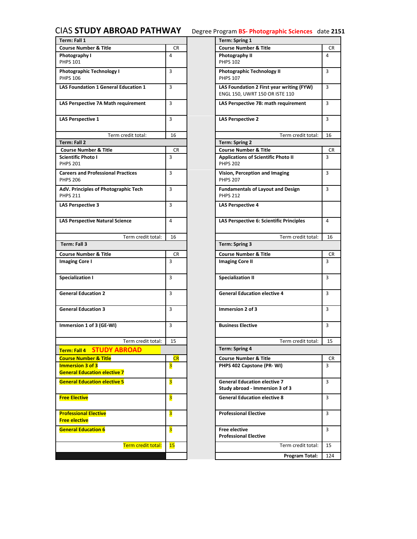# <span id="page-17-0"></span>CIAS **[STUDY ABROAD PATHWAY](#page-0-0)** Degree Program **BS- Photographic Sciences** date **2151**

| Term: Fall 1                                                 |                         | <b>Term: Spring 1</b>                                                       |                |
|--------------------------------------------------------------|-------------------------|-----------------------------------------------------------------------------|----------------|
| <b>Course Number &amp; Title</b>                             | CR                      | <b>Course Number &amp; Title</b>                                            | CR             |
| Photography I<br><b>PHPS 101</b>                             | 4                       | Photography II<br><b>PHPS 102</b>                                           | 4              |
| <b>Photographic Technology I</b><br><b>PHPS 106</b>          | 3                       | <b>Photographic Technology II</b><br><b>PHPS 107</b>                        | 3              |
| <b>LAS Foundation 1 General Education 1</b>                  | 3                       | LAS Foundation 2 First year writing (FYW)<br>ENGL 150, UWRT 150 OR ISTE 110 | $\overline{3}$ |
| LAS Perspective 7A Math requirement                          | 3                       | LAS Perspective 7B: math requirement                                        | 3              |
| <b>LAS Perspective 1</b>                                     | 3                       | <b>LAS Perspective 2</b>                                                    | 3              |
| Term credit total:                                           | 16                      | Term credit total:                                                          | 16             |
| Term: Fall 2                                                 |                         | <b>Term: Spring 2</b>                                                       |                |
| <b>Course Number &amp; Title</b>                             | CR.                     | <b>Course Number &amp; Title</b>                                            | <b>CR</b>      |
| <b>Scientific Photo I</b><br><b>PHPS 201</b>                 | 3                       | <b>Applications of Scientific Photo II</b><br><b>PHPS 202</b>               | 3              |
| <b>Careers and Professional Practices</b><br><b>PHPS 206</b> | 3                       | Vision, Perception and Imaging<br><b>PHPS 207</b>                           | $\overline{3}$ |
| AdV. Principles of Photographic Tech<br><b>PHPS 211</b>      | 3                       | <b>Fundamentals of Layout and Design</b><br><b>PHPS 212</b>                 | 3              |
| <b>LAS Perspective 3</b>                                     | 3                       | <b>LAS Perspective 4</b>                                                    |                |
| <b>LAS Perspective Natural Science</b>                       | 4                       | LAS Perspective 6: Scientific Principles                                    | $\overline{4}$ |
| Term credit total:                                           | 16                      | Term credit total:                                                          | 16             |
| Term: Fall 3                                                 |                         | Term: Spring 3                                                              |                |
| <b>Course Number &amp; Title</b>                             | CR                      | <b>Course Number &amp; Title</b>                                            | <b>CR</b>      |
| <b>Imaging Core I</b>                                        | 3                       | <b>Imaging Core II</b>                                                      | $\overline{3}$ |
| <b>Specialization I</b>                                      | 3                       | <b>Specialization II</b>                                                    | 3              |
| <b>General Education 2</b>                                   | 3                       | <b>General Education elective 4</b>                                         | 3              |
| <b>General Education 3</b>                                   | 3                       | Immersion 2 of 3                                                            | 3              |
| Immersion 1 of 3 (GE-WI)                                     | 3                       | <b>Business Elective</b>                                                    | $\overline{3}$ |
| Term credit total:                                           | 15                      | Term credit total:                                                          | 15             |
| Term: Fall 4 STUDY ABROAD                                    |                         | <b>Term: Spring 4</b>                                                       |                |
| <b>Course Number &amp; Title</b>                             | CR                      | <b>Course Number &amp; Title</b>                                            | CR             |
| <b>Immersion 3 of 3</b>                                      | 3                       | PHPS 402 Capstone (PR-WI)                                                   | 3              |
| <b>General Education elective 7</b>                          |                         |                                                                             |                |
| <b>General Education elective 5</b>                          | 3                       | <b>General Education elective 7</b><br>Study abroad - Immersion 3 of 3      | 3              |
| <b>Free Elective</b>                                         | $\overline{\mathbf{3}}$ | <b>General Education elective 8</b>                                         | 3              |
| <b>Professional Elective</b><br><b>Free elective</b>         | 3                       | <b>Professional Elective</b>                                                | 3              |
| <b>General Education 6</b>                                   | $\overline{\mathbf{3}}$ | <b>Free elective</b><br><b>Professional Elective</b>                        | 3              |
| Term credit total:                                           | 15                      | Term credit total:                                                          | 15             |
|                                                              |                         | Program Total:                                                              | 124            |
|                                                              |                         |                                                                             |                |

|                    |                | Term: Spring 1                                                              |                |
|--------------------|----------------|-----------------------------------------------------------------------------|----------------|
| e                  | CR             | <b>Course Number &amp; Title</b>                                            | CR.            |
|                    | $\overline{4}$ | Photography II<br><b>PHPS 102</b>                                           | $\overline{4}$ |
| logy I             | 3              | <b>Photographic Technology II</b><br><b>PHPS 107</b>                        | 3              |
| eral Education 1   | 3              | LAS Foundation 2 First year writing (FYW)<br>ENGL 150, UWRT 150 OR ISTE 110 | 3              |
| ath requirement    | 3              | LAS Perspective 7B: math requirement                                        | 3              |
|                    | 3              | <b>LAS Perspective 2</b>                                                    | 3              |
| Term credit total: | 16             | Term credit total:                                                          | 16             |
|                    |                | <b>Term: Spring 2</b>                                                       |                |
| le                 | CR.            | <b>Course Number &amp; Title</b>                                            | CR             |
|                    | 3              | <b>Applications of Scientific Photo II</b><br><b>PHPS 202</b>               | 3              |
| nal Practices      | 3              | Vision, Perception and Imaging<br><b>PHPS 207</b>                           | 3              |
| otographic Tech    | 3              | <b>Fundamentals of Layout and Design</b><br><b>PHPS 212</b>                 | 3              |
|                    | 3              | <b>LAS Perspective 4</b>                                                    |                |
| ral Science        | 4              | LAS Perspective 6: Scientific Principles                                    | 4              |
| Term credit total: | 16             | Term credit total:                                                          | 16             |
|                    |                | <b>Term: Spring 3</b>                                                       |                |
| e                  | CR             | <b>Course Number &amp; Title</b>                                            | CR             |
|                    | 3              | <b>Imaging Core II</b>                                                      | 3              |
|                    | 3              | <b>Specialization II</b>                                                    | 3              |
|                    | 3              | <b>General Education elective 4</b>                                         | 3              |
|                    | 3              | Immersion 2 of 3                                                            | 3              |
| WI)                | 3              | <b>Business Elective</b>                                                    | 3              |
| Term credit total: | 15             | Term credit total:                                                          | 15             |
| <b>Y ABROAD</b>    |                | <b>Term: Spring 4</b>                                                       |                |
| e                  | <b>CR</b>      | <b>Course Number &amp; Title</b>                                            | CR             |
| ective 7           | 3              | PHPS 402 Capstone (PR-WI)                                                   | 3              |
| ctive 5            | 3              | <b>General Education elective 7</b><br>Study abroad - Immersion 3 of 3      | 3              |
|                    | 3              | <b>General Education elective 8</b>                                         | 3              |
|                    | 3              | <b>Professional Elective</b>                                                | 3              |
|                    | 3              | <b>Free elective</b><br><b>Professional Elective</b>                        | 3              |
| Term credit total: | 15             | Term credit total:                                                          | 15             |
|                    |                | Program Total:                                                              | 124            |
|                    |                |                                                                             |                |